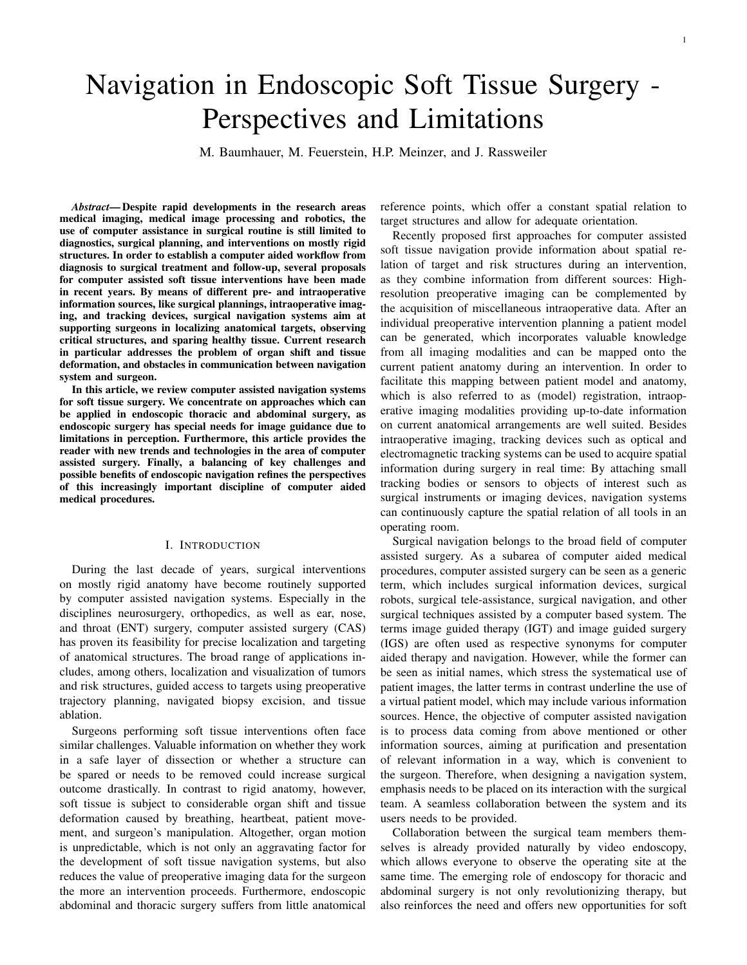# Navigation in Endoscopic Soft Tissue Surgery - Perspectives and Limitations

M. Baumhauer, M. Feuerstein, H.P. Meinzer, and J. Rassweiler

*Abstract*— Despite rapid developments in the research areas medical imaging, medical image processing and robotics, the use of computer assistance in surgical routine is still limited to diagnostics, surgical planning, and interventions on mostly rigid structures. In order to establish a computer aided workflow from diagnosis to surgical treatment and follow-up, several proposals for computer assisted soft tissue interventions have been made in recent years. By means of different pre- and intraoperative information sources, like surgical plannings, intraoperative imaging, and tracking devices, surgical navigation systems aim at supporting surgeons in localizing anatomical targets, observing critical structures, and sparing healthy tissue. Current research in particular addresses the problem of organ shift and tissue deformation, and obstacles in communication between navigation system and surgeon.

In this article, we review computer assisted navigation systems for soft tissue surgery. We concentrate on approaches which can be applied in endoscopic thoracic and abdominal surgery, as endoscopic surgery has special needs for image guidance due to limitations in perception. Furthermore, this article provides the reader with new trends and technologies in the area of computer assisted surgery. Finally, a balancing of key challenges and possible benefits of endoscopic navigation refines the perspectives of this increasingly important discipline of computer aided medical procedures.

### I. INTRODUCTION

During the last decade of years, surgical interventions on mostly rigid anatomy have become routinely supported by computer assisted navigation systems. Especially in the disciplines neurosurgery, orthopedics, as well as ear, nose, and throat (ENT) surgery, computer assisted surgery (CAS) has proven its feasibility for precise localization and targeting of anatomical structures. The broad range of applications includes, among others, localization and visualization of tumors and risk structures, guided access to targets using preoperative trajectory planning, navigated biopsy excision, and tissue ablation.

Surgeons performing soft tissue interventions often face similar challenges. Valuable information on whether they work in a safe layer of dissection or whether a structure can be spared or needs to be removed could increase surgical outcome drastically. In contrast to rigid anatomy, however, soft tissue is subject to considerable organ shift and tissue deformation caused by breathing, heartbeat, patient movement, and surgeon's manipulation. Altogether, organ motion is unpredictable, which is not only an aggravating factor for the development of soft tissue navigation systems, but also reduces the value of preoperative imaging data for the surgeon the more an intervention proceeds. Furthermore, endoscopic abdominal and thoracic surgery suffers from little anatomical

reference points, which offer a constant spatial relation to target structures and allow for adequate orientation.

Recently proposed first approaches for computer assisted soft tissue navigation provide information about spatial relation of target and risk structures during an intervention, as they combine information from different sources: Highresolution preoperative imaging can be complemented by the acquisition of miscellaneous intraoperative data. After an individual preoperative intervention planning a patient model can be generated, which incorporates valuable knowledge from all imaging modalities and can be mapped onto the current patient anatomy during an intervention. In order to facilitate this mapping between patient model and anatomy, which is also referred to as (model) registration, intraoperative imaging modalities providing up-to-date information on current anatomical arrangements are well suited. Besides intraoperative imaging, tracking devices such as optical and electromagnetic tracking systems can be used to acquire spatial information during surgery in real time: By attaching small tracking bodies or sensors to objects of interest such as surgical instruments or imaging devices, navigation systems can continuously capture the spatial relation of all tools in an operating room.

Surgical navigation belongs to the broad field of computer assisted surgery. As a subarea of computer aided medical procedures, computer assisted surgery can be seen as a generic term, which includes surgical information devices, surgical robots, surgical tele-assistance, surgical navigation, and other surgical techniques assisted by a computer based system. The terms image guided therapy (IGT) and image guided surgery (IGS) are often used as respective synonyms for computer aided therapy and navigation. However, while the former can be seen as initial names, which stress the systematical use of patient images, the latter terms in contrast underline the use of a virtual patient model, which may include various information sources. Hence, the objective of computer assisted navigation is to process data coming from above mentioned or other information sources, aiming at purification and presentation of relevant information in a way, which is convenient to the surgeon. Therefore, when designing a navigation system, emphasis needs to be placed on its interaction with the surgical team. A seamless collaboration between the system and its users needs to be provided.

Collaboration between the surgical team members themselves is already provided naturally by video endoscopy, which allows everyone to observe the operating site at the same time. The emerging role of endoscopy for thoracic and abdominal surgery is not only revolutionizing therapy, but also reinforces the need and offers new opportunities for soft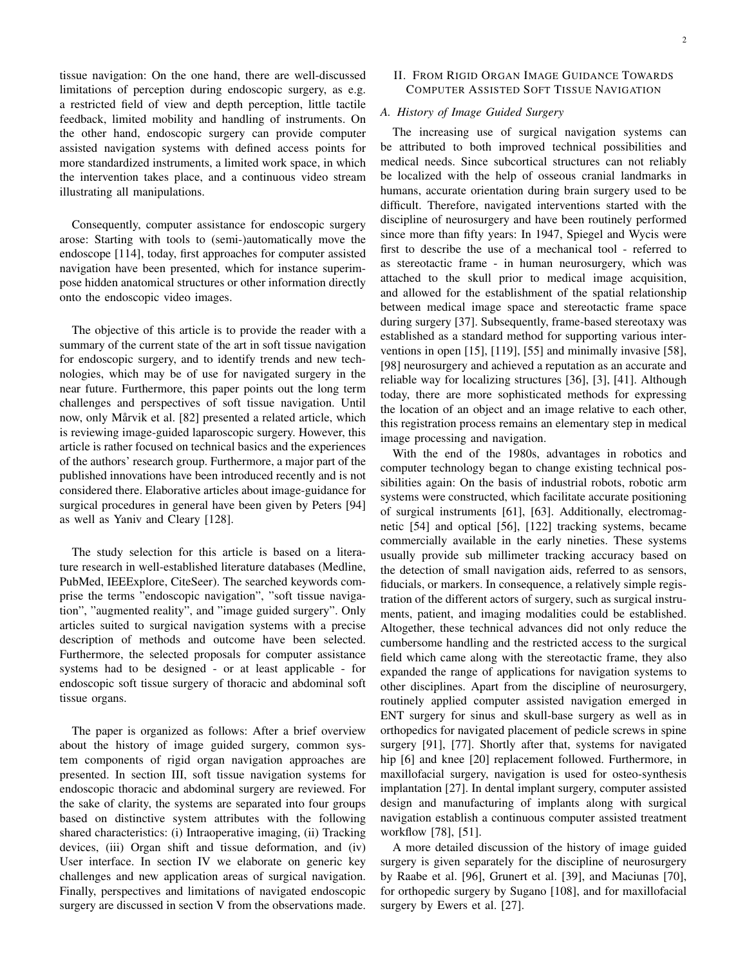tissue navigation: On the one hand, there are well-discussed limitations of perception during endoscopic surgery, as e.g. a restricted field of view and depth perception, little tactile feedback, limited mobility and handling of instruments. On the other hand, endoscopic surgery can provide computer assisted navigation systems with defined access points for more standardized instruments, a limited work space, in which the intervention takes place, and a continuous video stream illustrating all manipulations.

Consequently, computer assistance for endoscopic surgery arose: Starting with tools to (semi-)automatically move the endoscope [114], today, first approaches for computer assisted navigation have been presented, which for instance superimpose hidden anatomical structures or other information directly onto the endoscopic video images.

The objective of this article is to provide the reader with a summary of the current state of the art in soft tissue navigation for endoscopic surgery, and to identify trends and new technologies, which may be of use for navigated surgery in the near future. Furthermore, this paper points out the long term challenges and perspectives of soft tissue navigation. Until now, only Mårvik et al. [82] presented a related article, which is reviewing image-guided laparoscopic surgery. However, this article is rather focused on technical basics and the experiences of the authors' research group. Furthermore, a major part of the published innovations have been introduced recently and is not considered there. Elaborative articles about image-guidance for surgical procedures in general have been given by Peters [94] as well as Yaniv and Cleary [128].

The study selection for this article is based on a literature research in well-established literature databases (Medline, PubMed, IEEExplore, CiteSeer). The searched keywords comprise the terms "endoscopic navigation", "soft tissue navigation", "augmented reality", and "image guided surgery". Only articles suited to surgical navigation systems with a precise description of methods and outcome have been selected. Furthermore, the selected proposals for computer assistance systems had to be designed - or at least applicable - for endoscopic soft tissue surgery of thoracic and abdominal soft tissue organs.

The paper is organized as follows: After a brief overview about the history of image guided surgery, common system components of rigid organ navigation approaches are presented. In section III, soft tissue navigation systems for endoscopic thoracic and abdominal surgery are reviewed. For the sake of clarity, the systems are separated into four groups based on distinctive system attributes with the following shared characteristics: (i) Intraoperative imaging, (ii) Tracking devices, (iii) Organ shift and tissue deformation, and (iv) User interface. In section IV we elaborate on generic key challenges and new application areas of surgical navigation. Finally, perspectives and limitations of navigated endoscopic surgery are discussed in section V from the observations made.

## II. FROM RIGID ORGAN IMAGE GUIDANCE TOWARDS COMPUTER ASSISTED SOFT TISSUE NAVIGATION

## *A. History of Image Guided Surgery*

The increasing use of surgical navigation systems can be attributed to both improved technical possibilities and medical needs. Since subcortical structures can not reliably be localized with the help of osseous cranial landmarks in humans, accurate orientation during brain surgery used to be difficult. Therefore, navigated interventions started with the discipline of neurosurgery and have been routinely performed since more than fifty years: In 1947, Spiegel and Wycis were first to describe the use of a mechanical tool - referred to as stereotactic frame - in human neurosurgery, which was attached to the skull prior to medical image acquisition, and allowed for the establishment of the spatial relationship between medical image space and stereotactic frame space during surgery [37]. Subsequently, frame-based stereotaxy was established as a standard method for supporting various interventions in open [15], [119], [55] and minimally invasive [58], [98] neurosurgery and achieved a reputation as an accurate and reliable way for localizing structures [36], [3], [41]. Although today, there are more sophisticated methods for expressing the location of an object and an image relative to each other, this registration process remains an elementary step in medical image processing and navigation.

With the end of the 1980s, advantages in robotics and computer technology began to change existing technical possibilities again: On the basis of industrial robots, robotic arm systems were constructed, which facilitate accurate positioning of surgical instruments [61], [63]. Additionally, electromagnetic [54] and optical [56], [122] tracking systems, became commercially available in the early nineties. These systems usually provide sub millimeter tracking accuracy based on the detection of small navigation aids, referred to as sensors, fiducials, or markers. In consequence, a relatively simple registration of the different actors of surgery, such as surgical instruments, patient, and imaging modalities could be established. Altogether, these technical advances did not only reduce the cumbersome handling and the restricted access to the surgical field which came along with the stereotactic frame, they also expanded the range of applications for navigation systems to other disciplines. Apart from the discipline of neurosurgery, routinely applied computer assisted navigation emerged in ENT surgery for sinus and skull-base surgery as well as in orthopedics for navigated placement of pedicle screws in spine surgery [91], [77]. Shortly after that, systems for navigated hip [6] and knee [20] replacement followed. Furthermore, in maxillofacial surgery, navigation is used for osteo-synthesis implantation [27]. In dental implant surgery, computer assisted design and manufacturing of implants along with surgical navigation establish a continuous computer assisted treatment workflow [78], [51].

A more detailed discussion of the history of image guided surgery is given separately for the discipline of neurosurgery by Raabe et al. [96], Grunert et al. [39], and Maciunas [70], for orthopedic surgery by Sugano [108], and for maxillofacial surgery by Ewers et al. [27].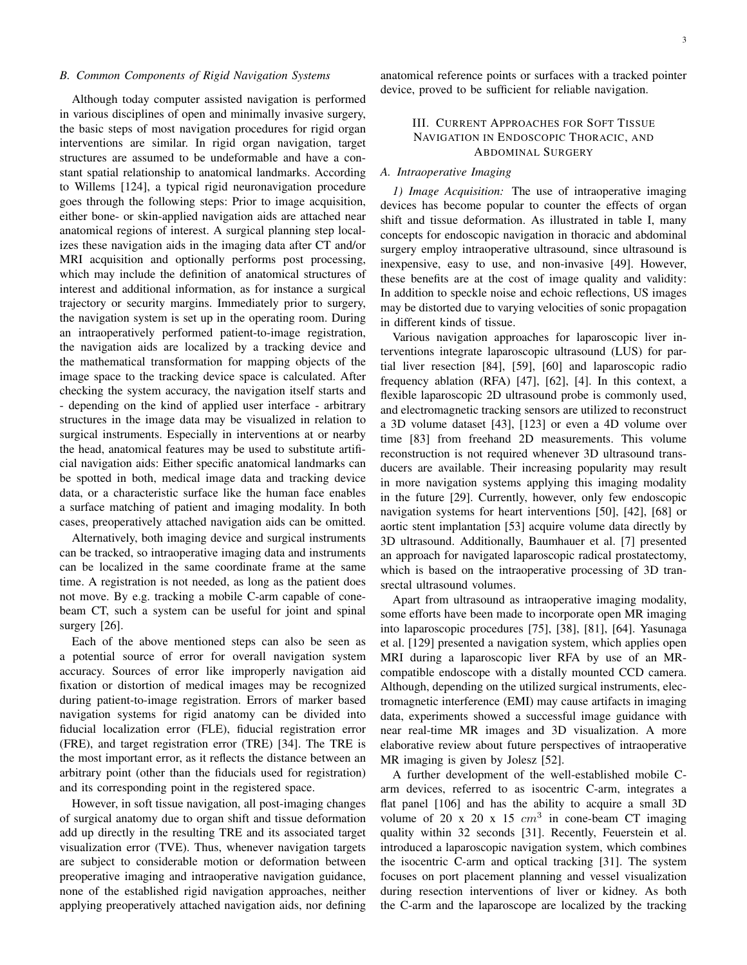#### *B. Common Components of Rigid Navigation Systems*

Although today computer assisted navigation is performed in various disciplines of open and minimally invasive surgery, the basic steps of most navigation procedures for rigid organ interventions are similar. In rigid organ navigation, target structures are assumed to be undeformable and have a constant spatial relationship to anatomical landmarks. According to Willems [124], a typical rigid neuronavigation procedure goes through the following steps: Prior to image acquisition, either bone- or skin-applied navigation aids are attached near anatomical regions of interest. A surgical planning step localizes these navigation aids in the imaging data after CT and/or MRI acquisition and optionally performs post processing, which may include the definition of anatomical structures of interest and additional information, as for instance a surgical trajectory or security margins. Immediately prior to surgery, the navigation system is set up in the operating room. During an intraoperatively performed patient-to-image registration, the navigation aids are localized by a tracking device and the mathematical transformation for mapping objects of the image space to the tracking device space is calculated. After checking the system accuracy, the navigation itself starts and - depending on the kind of applied user interface - arbitrary structures in the image data may be visualized in relation to surgical instruments. Especially in interventions at or nearby the head, anatomical features may be used to substitute artificial navigation aids: Either specific anatomical landmarks can be spotted in both, medical image data and tracking device data, or a characteristic surface like the human face enables a surface matching of patient and imaging modality. In both cases, preoperatively attached navigation aids can be omitted.

Alternatively, both imaging device and surgical instruments can be tracked, so intraoperative imaging data and instruments can be localized in the same coordinate frame at the same time. A registration is not needed, as long as the patient does not move. By e.g. tracking a mobile C-arm capable of conebeam CT, such a system can be useful for joint and spinal surgery [26].

Each of the above mentioned steps can also be seen as a potential source of error for overall navigation system accuracy. Sources of error like improperly navigation aid fixation or distortion of medical images may be recognized during patient-to-image registration. Errors of marker based navigation systems for rigid anatomy can be divided into fiducial localization error (FLE), fiducial registration error (FRE), and target registration error (TRE) [34]. The TRE is the most important error, as it reflects the distance between an arbitrary point (other than the fiducials used for registration) and its corresponding point in the registered space.

However, in soft tissue navigation, all post-imaging changes of surgical anatomy due to organ shift and tissue deformation add up directly in the resulting TRE and its associated target visualization error (TVE). Thus, whenever navigation targets are subject to considerable motion or deformation between preoperative imaging and intraoperative navigation guidance, none of the established rigid navigation approaches, neither applying preoperatively attached navigation aids, nor defining anatomical reference points or surfaces with a tracked pointer device, proved to be sufficient for reliable navigation.

## III. CURRENT APPROACHES FOR SOFT TISSUE NAVIGATION IN ENDOSCOPIC THORACIC, AND ABDOMINAL SURGERY

## *A. Intraoperative Imaging*

*1) Image Acquisition:* The use of intraoperative imaging devices has become popular to counter the effects of organ shift and tissue deformation. As illustrated in table I, many concepts for endoscopic navigation in thoracic and abdominal surgery employ intraoperative ultrasound, since ultrasound is inexpensive, easy to use, and non-invasive [49]. However, these benefits are at the cost of image quality and validity: In addition to speckle noise and echoic reflections, US images may be distorted due to varying velocities of sonic propagation in different kinds of tissue.

Various navigation approaches for laparoscopic liver interventions integrate laparoscopic ultrasound (LUS) for partial liver resection [84], [59], [60] and laparoscopic radio frequency ablation (RFA) [47], [62], [4]. In this context, a flexible laparoscopic 2D ultrasound probe is commonly used, and electromagnetic tracking sensors are utilized to reconstruct a 3D volume dataset [43], [123] or even a 4D volume over time [83] from freehand 2D measurements. This volume reconstruction is not required whenever 3D ultrasound transducers are available. Their increasing popularity may result in more navigation systems applying this imaging modality in the future [29]. Currently, however, only few endoscopic navigation systems for heart interventions [50], [42], [68] or aortic stent implantation [53] acquire volume data directly by 3D ultrasound. Additionally, Baumhauer et al. [7] presented an approach for navigated laparoscopic radical prostatectomy, which is based on the intraoperative processing of 3D transrectal ultrasound volumes.

Apart from ultrasound as intraoperative imaging modality, some efforts have been made to incorporate open MR imaging into laparoscopic procedures [75], [38], [81], [64]. Yasunaga et al. [129] presented a navigation system, which applies open MRI during a laparoscopic liver RFA by use of an MRcompatible endoscope with a distally mounted CCD camera. Although, depending on the utilized surgical instruments, electromagnetic interference (EMI) may cause artifacts in imaging data, experiments showed a successful image guidance with near real-time MR images and 3D visualization. A more elaborative review about future perspectives of intraoperative MR imaging is given by Jolesz [52].

A further development of the well-established mobile Carm devices, referred to as isocentric C-arm, integrates a flat panel [106] and has the ability to acquire a small 3D volume of 20 x 20 x 15  $cm<sup>3</sup>$  in cone-beam CT imaging quality within 32 seconds [31]. Recently, Feuerstein et al. introduced a laparoscopic navigation system, which combines the isocentric C-arm and optical tracking [31]. The system focuses on port placement planning and vessel visualization during resection interventions of liver or kidney. As both the C-arm and the laparoscope are localized by the tracking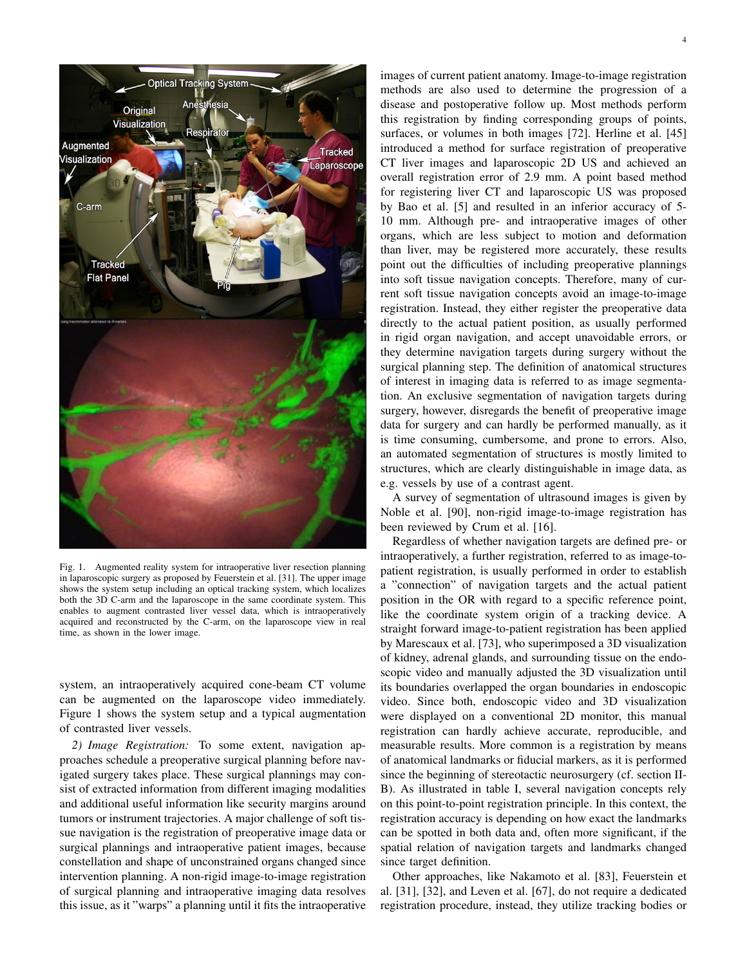

Fig. 1. Augmented reality system for intraoperative liver resection planning in laparoscopic surgery as proposed by Feuerstein et al. [31]. The upper image shows the system setup including an optical tracking system, which localizes both the 3D C-arm and the laparoscope in the same coordinate system. This enables to augment contrasted liver vessel data, which is intraoperatively acquired and reconstructed by the C-arm, on the laparoscope view in real time, as shown in the lower image.

system, an intraoperatively acquired cone-beam CT volume can be augmented on the laparoscope video immediately. Figure 1 shows the system setup and a typical augmentation of contrasted liver vessels.

*2) Image Registration:* To some extent, navigation approaches schedule a preoperative surgical planning before navigated surgery takes place. These surgical plannings may consist of extracted information from different imaging modalities and additional useful information like security margins around tumors or instrument trajectories. A major challenge of soft tissue navigation is the registration of preoperative image data or surgical plannings and intraoperative patient images, because constellation and shape of unconstrained organs changed since intervention planning. A non-rigid image-to-image registration of surgical planning and intraoperative imaging data resolves this issue, as it "warps" a planning until it fits the intraoperative images of current patient anatomy. Image-to-image registration methods are also used to determine the progression of a disease and postoperative follow up. Most methods perform this registration by finding corresponding groups of points, surfaces, or volumes in both images [72]. Herline et al. [45] introduced a method for surface registration of preoperative CT liver images and laparoscopic 2D US and achieved an overall registration error of 2.9 mm. A point based method for registering liver CT and laparoscopic US was proposed by Bao et al. [5] and resulted in an inferior accuracy of 5- 10 mm. Although pre- and intraoperative images of other organs, which are less subject to motion and deformation than liver, may be registered more accurately, these results point out the difficulties of including preoperative plannings into soft tissue navigation concepts. Therefore, many of current soft tissue navigation concepts avoid an image-to-image registration. Instead, they either register the preoperative data directly to the actual patient position, as usually performed in rigid organ navigation, and accept unavoidable errors, or they determine navigation targets during surgery without the surgical planning step. The definition of anatomical structures of interest in imaging data is referred to as image segmentation. An exclusive segmentation of navigation targets during surgery, however, disregards the benefit of preoperative image data for surgery and can hardly be performed manually, as it is time consuming, cumbersome, and prone to errors. Also, an automated segmentation of structures is mostly limited to structures, which are clearly distinguishable in image data, as e.g. vessels by use of a contrast agent.

A survey of segmentation of ultrasound images is given by Noble et al. [90], non-rigid image-to-image registration has been reviewed by Crum et al. [16].

Regardless of whether navigation targets are defined pre- or intraoperatively, a further registration, referred to as image-topatient registration, is usually performed in order to establish a "connection" of navigation targets and the actual patient position in the OR with regard to a specific reference point, like the coordinate system origin of a tracking device. A straight forward image-to-patient registration has been applied by Marescaux et al. [73], who superimposed a 3D visualization of kidney, adrenal glands, and surrounding tissue on the endoscopic video and manually adjusted the 3D visualization until its boundaries overlapped the organ boundaries in endoscopic video. Since both, endoscopic video and 3D visualization were displayed on a conventional 2D monitor, this manual registration can hardly achieve accurate, reproducible, and measurable results. More common is a registration by means of anatomical landmarks or fiducial markers, as it is performed since the beginning of stereotactic neurosurgery (cf. section II-B). As illustrated in table I, several navigation concepts rely on this point-to-point registration principle. In this context, the registration accuracy is depending on how exact the landmarks can be spotted in both data and, often more significant, if the spatial relation of navigation targets and landmarks changed since target definition.

Other approaches, like Nakamoto et al. [83], Feuerstein et al. [31], [32], and Leven et al. [67], do not require a dedicated registration procedure, instead, they utilize tracking bodies or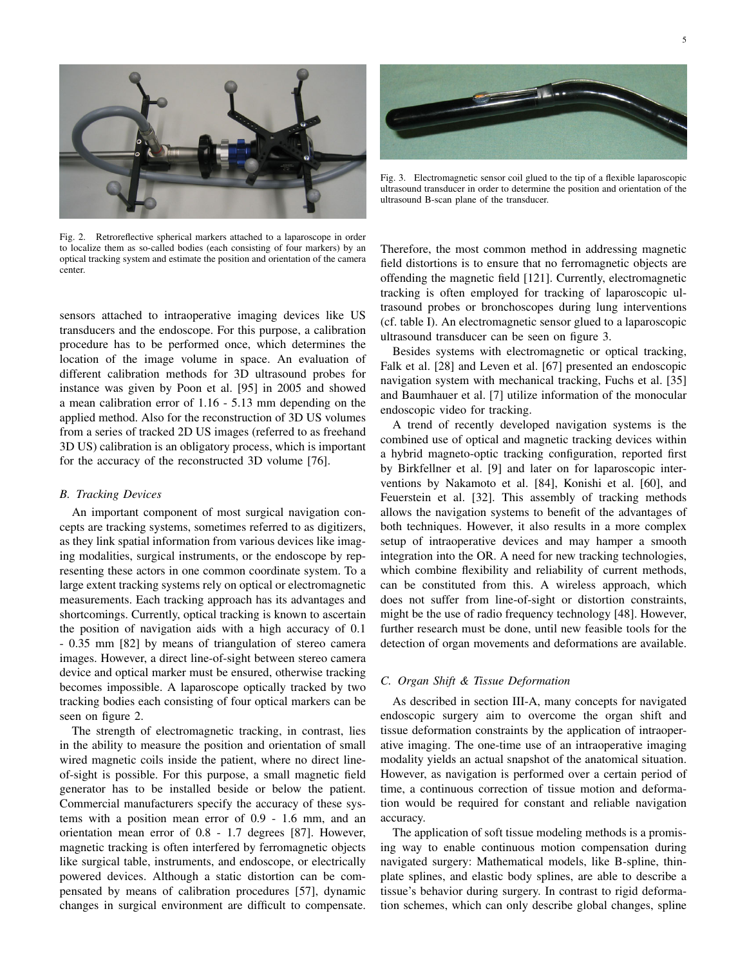

Fig. 2. Retroreflective spherical markers attached to a laparoscope in order to localize them as so-called bodies (each consisting of four markers) by an optical tracking system and estimate the position and orientation of the camera center.

sensors attached to intraoperative imaging devices like US transducers and the endoscope. For this purpose, a calibration procedure has to be performed once, which determines the location of the image volume in space. An evaluation of different calibration methods for 3D ultrasound probes for instance was given by Poon et al. [95] in 2005 and showed a mean calibration error of 1.16 - 5.13 mm depending on the applied method. Also for the reconstruction of 3D US volumes from a series of tracked 2D US images (referred to as freehand 3D US) calibration is an obligatory process, which is important for the accuracy of the reconstructed 3D volume [76].

#### *B. Tracking Devices*

An important component of most surgical navigation concepts are tracking systems, sometimes referred to as digitizers, as they link spatial information from various devices like imaging modalities, surgical instruments, or the endoscope by representing these actors in one common coordinate system. To a large extent tracking systems rely on optical or electromagnetic measurements. Each tracking approach has its advantages and shortcomings. Currently, optical tracking is known to ascertain the position of navigation aids with a high accuracy of 0.1 - 0.35 mm [82] by means of triangulation of stereo camera images. However, a direct line-of-sight between stereo camera device and optical marker must be ensured, otherwise tracking becomes impossible. A laparoscope optically tracked by two tracking bodies each consisting of four optical markers can be seen on figure 2.

The strength of electromagnetic tracking, in contrast, lies in the ability to measure the position and orientation of small wired magnetic coils inside the patient, where no direct lineof-sight is possible. For this purpose, a small magnetic field generator has to be installed beside or below the patient. Commercial manufacturers specify the accuracy of these systems with a position mean error of 0.9 - 1.6 mm, and an orientation mean error of 0.8 - 1.7 degrees [87]. However, magnetic tracking is often interfered by ferromagnetic objects like surgical table, instruments, and endoscope, or electrically powered devices. Although a static distortion can be compensated by means of calibration procedures [57], dynamic changes in surgical environment are difficult to compensate.



Fig. 3. Electromagnetic sensor coil glued to the tip of a flexible laparoscopic ultrasound transducer in order to determine the position and orientation of the ultrasound B-scan plane of the transducer.

Therefore, the most common method in addressing magnetic field distortions is to ensure that no ferromagnetic objects are offending the magnetic field [121]. Currently, electromagnetic tracking is often employed for tracking of laparoscopic ultrasound probes or bronchoscopes during lung interventions (cf. table I). An electromagnetic sensor glued to a laparoscopic ultrasound transducer can be seen on figure 3.

Besides systems with electromagnetic or optical tracking, Falk et al. [28] and Leven et al. [67] presented an endoscopic navigation system with mechanical tracking, Fuchs et al. [35] and Baumhauer et al. [7] utilize information of the monocular endoscopic video for tracking.

A trend of recently developed navigation systems is the combined use of optical and magnetic tracking devices within a hybrid magneto-optic tracking configuration, reported first by Birkfellner et al. [9] and later on for laparoscopic interventions by Nakamoto et al. [84], Konishi et al. [60], and Feuerstein et al. [32]. This assembly of tracking methods allows the navigation systems to benefit of the advantages of both techniques. However, it also results in a more complex setup of intraoperative devices and may hamper a smooth integration into the OR. A need for new tracking technologies, which combine flexibility and reliability of current methods, can be constituted from this. A wireless approach, which does not suffer from line-of-sight or distortion constraints, might be the use of radio frequency technology [48]. However, further research must be done, until new feasible tools for the detection of organ movements and deformations are available.

#### *C. Organ Shift & Tissue Deformation*

As described in section III-A, many concepts for navigated endoscopic surgery aim to overcome the organ shift and tissue deformation constraints by the application of intraoperative imaging. The one-time use of an intraoperative imaging modality yields an actual snapshot of the anatomical situation. However, as navigation is performed over a certain period of time, a continuous correction of tissue motion and deformation would be required for constant and reliable navigation accuracy.

The application of soft tissue modeling methods is a promising way to enable continuous motion compensation during navigated surgery: Mathematical models, like B-spline, thinplate splines, and elastic body splines, are able to describe a tissue's behavior during surgery. In contrast to rigid deformation schemes, which can only describe global changes, spline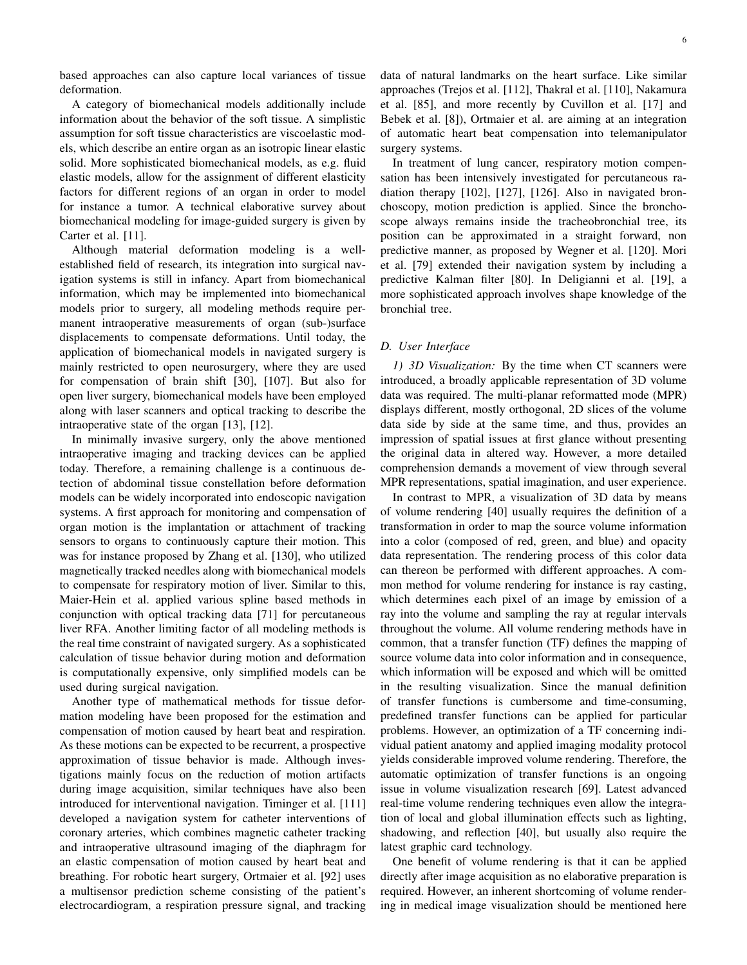based approaches can also capture local variances of tissue deformation.

A category of biomechanical models additionally include information about the behavior of the soft tissue. A simplistic assumption for soft tissue characteristics are viscoelastic models, which describe an entire organ as an isotropic linear elastic solid. More sophisticated biomechanical models, as e.g. fluid elastic models, allow for the assignment of different elasticity factors for different regions of an organ in order to model for instance a tumor. A technical elaborative survey about biomechanical modeling for image-guided surgery is given by Carter et al. [11].

Although material deformation modeling is a wellestablished field of research, its integration into surgical navigation systems is still in infancy. Apart from biomechanical information, which may be implemented into biomechanical models prior to surgery, all modeling methods require permanent intraoperative measurements of organ (sub-)surface displacements to compensate deformations. Until today, the application of biomechanical models in navigated surgery is mainly restricted to open neurosurgery, where they are used for compensation of brain shift [30], [107]. But also for open liver surgery, biomechanical models have been employed along with laser scanners and optical tracking to describe the intraoperative state of the organ [13], [12].

In minimally invasive surgery, only the above mentioned intraoperative imaging and tracking devices can be applied today. Therefore, a remaining challenge is a continuous detection of abdominal tissue constellation before deformation models can be widely incorporated into endoscopic navigation systems. A first approach for monitoring and compensation of organ motion is the implantation or attachment of tracking sensors to organs to continuously capture their motion. This was for instance proposed by Zhang et al. [130], who utilized magnetically tracked needles along with biomechanical models to compensate for respiratory motion of liver. Similar to this, Maier-Hein et al. applied various spline based methods in conjunction with optical tracking data [71] for percutaneous liver RFA. Another limiting factor of all modeling methods is the real time constraint of navigated surgery. As a sophisticated calculation of tissue behavior during motion and deformation is computationally expensive, only simplified models can be used during surgical navigation.

Another type of mathematical methods for tissue deformation modeling have been proposed for the estimation and compensation of motion caused by heart beat and respiration. As these motions can be expected to be recurrent, a prospective approximation of tissue behavior is made. Although investigations mainly focus on the reduction of motion artifacts during image acquisition, similar techniques have also been introduced for interventional navigation. Timinger et al. [111] developed a navigation system for catheter interventions of coronary arteries, which combines magnetic catheter tracking and intraoperative ultrasound imaging of the diaphragm for an elastic compensation of motion caused by heart beat and breathing. For robotic heart surgery, Ortmaier et al. [92] uses a multisensor prediction scheme consisting of the patient's electrocardiogram, a respiration pressure signal, and tracking data of natural landmarks on the heart surface. Like similar approaches (Trejos et al. [112], Thakral et al. [110], Nakamura et al. [85], and more recently by Cuvillon et al. [17] and Bebek et al. [8]), Ortmaier et al. are aiming at an integration of automatic heart beat compensation into telemanipulator surgery systems.

In treatment of lung cancer, respiratory motion compensation has been intensively investigated for percutaneous radiation therapy [102], [127], [126]. Also in navigated bronchoscopy, motion prediction is applied. Since the bronchoscope always remains inside the tracheobronchial tree, its position can be approximated in a straight forward, non predictive manner, as proposed by Wegner et al. [120]. Mori et al. [79] extended their navigation system by including a predictive Kalman filter [80]. In Deligianni et al. [19], a more sophisticated approach involves shape knowledge of the bronchial tree.

### *D. User Interface*

*1) 3D Visualization:* By the time when CT scanners were introduced, a broadly applicable representation of 3D volume data was required. The multi-planar reformatted mode (MPR) displays different, mostly orthogonal, 2D slices of the volume data side by side at the same time, and thus, provides an impression of spatial issues at first glance without presenting the original data in altered way. However, a more detailed comprehension demands a movement of view through several MPR representations, spatial imagination, and user experience.

In contrast to MPR, a visualization of 3D data by means of volume rendering [40] usually requires the definition of a transformation in order to map the source volume information into a color (composed of red, green, and blue) and opacity data representation. The rendering process of this color data can thereon be performed with different approaches. A common method for volume rendering for instance is ray casting, which determines each pixel of an image by emission of a ray into the volume and sampling the ray at regular intervals throughout the volume. All volume rendering methods have in common, that a transfer function (TF) defines the mapping of source volume data into color information and in consequence, which information will be exposed and which will be omitted in the resulting visualization. Since the manual definition of transfer functions is cumbersome and time-consuming, predefined transfer functions can be applied for particular problems. However, an optimization of a TF concerning individual patient anatomy and applied imaging modality protocol yields considerable improved volume rendering. Therefore, the automatic optimization of transfer functions is an ongoing issue in volume visualization research [69]. Latest advanced real-time volume rendering techniques even allow the integration of local and global illumination effects such as lighting, shadowing, and reflection [40], but usually also require the latest graphic card technology.

One benefit of volume rendering is that it can be applied directly after image acquisition as no elaborative preparation is required. However, an inherent shortcoming of volume rendering in medical image visualization should be mentioned here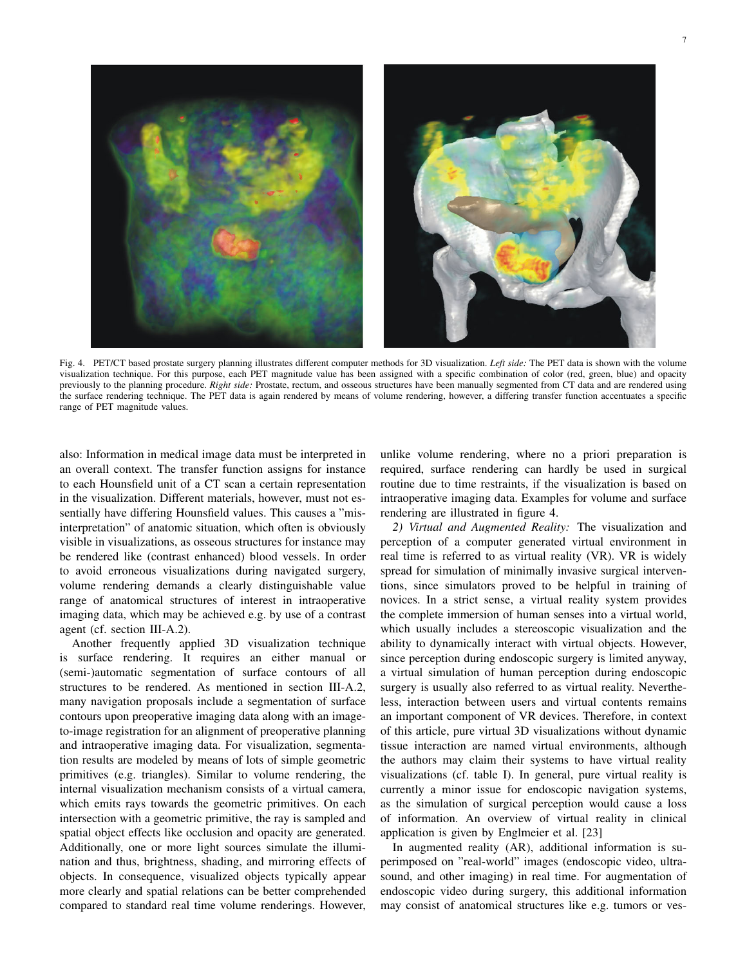

Fig. 4. PET/CT based prostate surgery planning illustrates different computer methods for 3D visualization. *Left side:* The PET data is shown with the volume visualization technique. For this purpose, each PET magnitude value has been assigned with a specific combination of color (red, green, blue) and opacity previously to the planning procedure. *Right side:* Prostate, rectum, and osseous structures have been manually segmented from CT data and are rendered using the surface rendering technique. The PET data is again rendered by means of volume rendering, however, a differing transfer function accentuates a specific range of PET magnitude values.

also: Information in medical image data must be interpreted in an overall context. The transfer function assigns for instance to each Hounsfield unit of a CT scan a certain representation in the visualization. Different materials, however, must not essentially have differing Hounsfield values. This causes a "misinterpretation" of anatomic situation, which often is obviously visible in visualizations, as osseous structures for instance may be rendered like (contrast enhanced) blood vessels. In order to avoid erroneous visualizations during navigated surgery, volume rendering demands a clearly distinguishable value range of anatomical structures of interest in intraoperative imaging data, which may be achieved e.g. by use of a contrast agent (cf. section III-A.2).

Another frequently applied 3D visualization technique is surface rendering. It requires an either manual or (semi-)automatic segmentation of surface contours of all structures to be rendered. As mentioned in section III-A.2, many navigation proposals include a segmentation of surface contours upon preoperative imaging data along with an imageto-image registration for an alignment of preoperative planning and intraoperative imaging data. For visualization, segmentation results are modeled by means of lots of simple geometric primitives (e.g. triangles). Similar to volume rendering, the internal visualization mechanism consists of a virtual camera, which emits rays towards the geometric primitives. On each intersection with a geometric primitive, the ray is sampled and spatial object effects like occlusion and opacity are generated. Additionally, one or more light sources simulate the illumination and thus, brightness, shading, and mirroring effects of objects. In consequence, visualized objects typically appear more clearly and spatial relations can be better comprehended compared to standard real time volume renderings. However,

unlike volume rendering, where no a priori preparation is required, surface rendering can hardly be used in surgical routine due to time restraints, if the visualization is based on intraoperative imaging data. Examples for volume and surface rendering are illustrated in figure 4.

*2) Virtual and Augmented Reality:* The visualization and perception of a computer generated virtual environment in real time is referred to as virtual reality (VR). VR is widely spread for simulation of minimally invasive surgical interventions, since simulators proved to be helpful in training of novices. In a strict sense, a virtual reality system provides the complete immersion of human senses into a virtual world, which usually includes a stereoscopic visualization and the ability to dynamically interact with virtual objects. However, since perception during endoscopic surgery is limited anyway, a virtual simulation of human perception during endoscopic surgery is usually also referred to as virtual reality. Nevertheless, interaction between users and virtual contents remains an important component of VR devices. Therefore, in context of this article, pure virtual 3D visualizations without dynamic tissue interaction are named virtual environments, although the authors may claim their systems to have virtual reality visualizations (cf. table I). In general, pure virtual reality is currently a minor issue for endoscopic navigation systems, as the simulation of surgical perception would cause a loss of information. An overview of virtual reality in clinical application is given by Englmeier et al. [23]

In augmented reality (AR), additional information is superimposed on "real-world" images (endoscopic video, ultrasound, and other imaging) in real time. For augmentation of endoscopic video during surgery, this additional information may consist of anatomical structures like e.g. tumors or ves-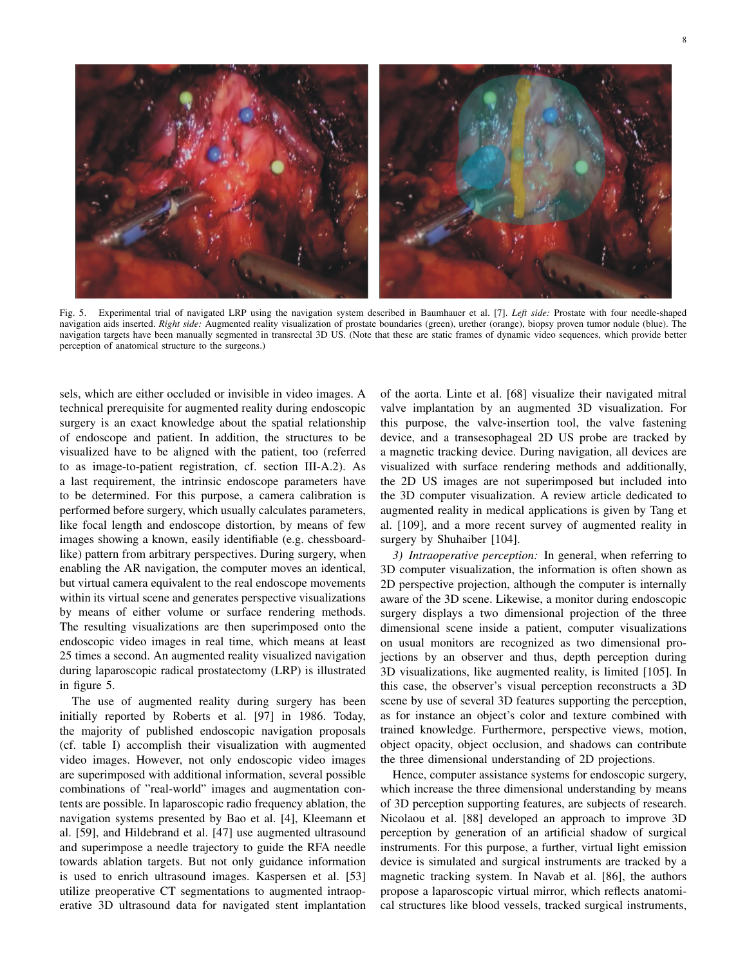

Fig. 5. Experimental trial of navigated LRP using the navigation system described in Baumhauer et al. [7]. *Left side:* Prostate with four needle-shaped navigation aids inserted. *Right side:* Augmented reality visualization of prostate boundaries (green), urether (orange), biopsy proven tumor nodule (blue). The navigation targets have been manually segmented in transrectal 3D US. (Note that these are static frames of dynamic video sequences, which provide better perception of anatomical structure to the surgeons.)

sels, which are either occluded or invisible in video images. A technical prerequisite for augmented reality during endoscopic surgery is an exact knowledge about the spatial relationship of endoscope and patient. In addition, the structures to be visualized have to be aligned with the patient, too (referred to as image-to-patient registration, cf. section III-A.2). As a last requirement, the intrinsic endoscope parameters have to be determined. For this purpose, a camera calibration is performed before surgery, which usually calculates parameters, like focal length and endoscope distortion, by means of few images showing a known, easily identifiable (e.g. chessboardlike) pattern from arbitrary perspectives. During surgery, when enabling the AR navigation, the computer moves an identical, but virtual camera equivalent to the real endoscope movements within its virtual scene and generates perspective visualizations by means of either volume or surface rendering methods. The resulting visualizations are then superimposed onto the endoscopic video images in real time, which means at least 25 times a second. An augmented reality visualized navigation during laparoscopic radical prostatectomy (LRP) is illustrated in figure 5.

The use of augmented reality during surgery has been initially reported by Roberts et al. [97] in 1986. Today, the majority of published endoscopic navigation proposals (cf. table I) accomplish their visualization with augmented video images. However, not only endoscopic video images are superimposed with additional information, several possible combinations of "real-world" images and augmentation contents are possible. In laparoscopic radio frequency ablation, the navigation systems presented by Bao et al. [4], Kleemann et al. [59], and Hildebrand et al. [47] use augmented ultrasound and superimpose a needle trajectory to guide the RFA needle towards ablation targets. But not only guidance information is used to enrich ultrasound images. Kaspersen et al. [53] utilize preoperative CT segmentations to augmented intraoperative 3D ultrasound data for navigated stent implantation

of the aorta. Linte et al. [68] visualize their navigated mitral valve implantation by an augmented 3D visualization. For this purpose, the valve-insertion tool, the valve fastening device, and a transesophageal 2D US probe are tracked by a magnetic tracking device. During navigation, all devices are visualized with surface rendering methods and additionally, the 2D US images are not superimposed but included into the 3D computer visualization. A review article dedicated to augmented reality in medical applications is given by Tang et al. [109], and a more recent survey of augmented reality in surgery by Shuhaiber [104].

*3) Intraoperative perception:* In general, when referring to 3D computer visualization, the information is often shown as 2D perspective projection, although the computer is internally aware of the 3D scene. Likewise, a monitor during endoscopic surgery displays a two dimensional projection of the three dimensional scene inside a patient, computer visualizations on usual monitors are recognized as two dimensional projections by an observer and thus, depth perception during 3D visualizations, like augmented reality, is limited [105]. In this case, the observer's visual perception reconstructs a 3D scene by use of several 3D features supporting the perception, as for instance an object's color and texture combined with trained knowledge. Furthermore, perspective views, motion, object opacity, object occlusion, and shadows can contribute the three dimensional understanding of 2D projections.

Hence, computer assistance systems for endoscopic surgery, which increase the three dimensional understanding by means of 3D perception supporting features, are subjects of research. Nicolaou et al. [88] developed an approach to improve 3D perception by generation of an artificial shadow of surgical instruments. For this purpose, a further, virtual light emission device is simulated and surgical instruments are tracked by a magnetic tracking system. In Navab et al. [86], the authors propose a laparoscopic virtual mirror, which reflects anatomical structures like blood vessels, tracked surgical instruments,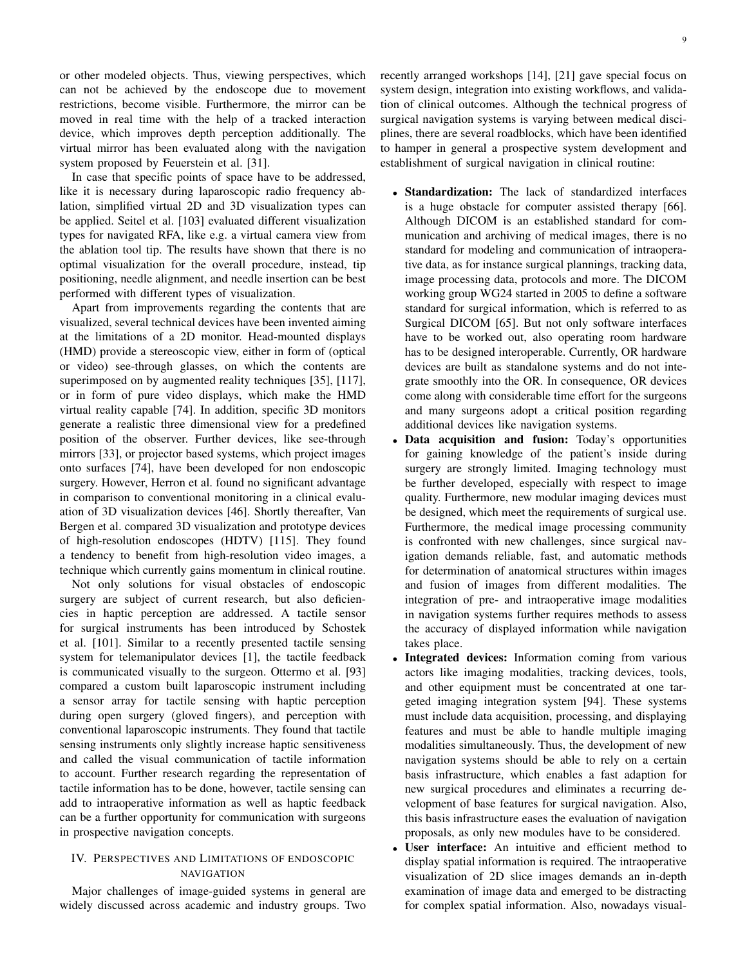or other modeled objects. Thus, viewing perspectives, which can not be achieved by the endoscope due to movement restrictions, become visible. Furthermore, the mirror can be moved in real time with the help of a tracked interaction device, which improves depth perception additionally. The virtual mirror has been evaluated along with the navigation system proposed by Feuerstein et al. [31].

In case that specific points of space have to be addressed, like it is necessary during laparoscopic radio frequency ablation, simplified virtual 2D and 3D visualization types can be applied. Seitel et al. [103] evaluated different visualization types for navigated RFA, like e.g. a virtual camera view from the ablation tool tip. The results have shown that there is no optimal visualization for the overall procedure, instead, tip positioning, needle alignment, and needle insertion can be best performed with different types of visualization.

Apart from improvements regarding the contents that are visualized, several technical devices have been invented aiming at the limitations of a 2D monitor. Head-mounted displays (HMD) provide a stereoscopic view, either in form of (optical or video) see-through glasses, on which the contents are superimposed on by augmented reality techniques [35], [117], or in form of pure video displays, which make the HMD virtual reality capable [74]. In addition, specific 3D monitors generate a realistic three dimensional view for a predefined position of the observer. Further devices, like see-through mirrors [33], or projector based systems, which project images onto surfaces [74], have been developed for non endoscopic surgery. However, Herron et al. found no significant advantage in comparison to conventional monitoring in a clinical evaluation of 3D visualization devices [46]. Shortly thereafter, Van Bergen et al. compared 3D visualization and prototype devices of high-resolution endoscopes (HDTV) [115]. They found a tendency to benefit from high-resolution video images, a technique which currently gains momentum in clinical routine.

Not only solutions for visual obstacles of endoscopic surgery are subject of current research, but also deficiencies in haptic perception are addressed. A tactile sensor for surgical instruments has been introduced by Schostek et al. [101]. Similar to a recently presented tactile sensing system for telemanipulator devices [1], the tactile feedback is communicated visually to the surgeon. Ottermo et al. [93] compared a custom built laparoscopic instrument including a sensor array for tactile sensing with haptic perception during open surgery (gloved fingers), and perception with conventional laparoscopic instruments. They found that tactile sensing instruments only slightly increase haptic sensitiveness and called the visual communication of tactile information to account. Further research regarding the representation of tactile information has to be done, however, tactile sensing can add to intraoperative information as well as haptic feedback can be a further opportunity for communication with surgeons in prospective navigation concepts.

## IV. PERSPECTIVES AND LIMITATIONS OF ENDOSCOPIC NAVIGATION

Major challenges of image-guided systems in general are widely discussed across academic and industry groups. Two recently arranged workshops [14], [21] gave special focus on system design, integration into existing workflows, and validation of clinical outcomes. Although the technical progress of surgical navigation systems is varying between medical disciplines, there are several roadblocks, which have been identified to hamper in general a prospective system development and establishment of surgical navigation in clinical routine:

- Standardization: The lack of standardized interfaces is a huge obstacle for computer assisted therapy [66]. Although DICOM is an established standard for communication and archiving of medical images, there is no standard for modeling and communication of intraoperative data, as for instance surgical plannings, tracking data, image processing data, protocols and more. The DICOM working group WG24 started in 2005 to define a software standard for surgical information, which is referred to as Surgical DICOM [65]. But not only software interfaces have to be worked out, also operating room hardware has to be designed interoperable. Currently, OR hardware devices are built as standalone systems and do not integrate smoothly into the OR. In consequence, OR devices come along with considerable time effort for the surgeons and many surgeons adopt a critical position regarding additional devices like navigation systems.
- Data acquisition and fusion: Today's opportunities for gaining knowledge of the patient's inside during surgery are strongly limited. Imaging technology must be further developed, especially with respect to image quality. Furthermore, new modular imaging devices must be designed, which meet the requirements of surgical use. Furthermore, the medical image processing community is confronted with new challenges, since surgical navigation demands reliable, fast, and automatic methods for determination of anatomical structures within images and fusion of images from different modalities. The integration of pre- and intraoperative image modalities in navigation systems further requires methods to assess the accuracy of displayed information while navigation takes place.
- Integrated devices: Information coming from various actors like imaging modalities, tracking devices, tools, and other equipment must be concentrated at one targeted imaging integration system [94]. These systems must include data acquisition, processing, and displaying features and must be able to handle multiple imaging modalities simultaneously. Thus, the development of new navigation systems should be able to rely on a certain basis infrastructure, which enables a fast adaption for new surgical procedures and eliminates a recurring development of base features for surgical navigation. Also, this basis infrastructure eases the evaluation of navigation proposals, as only new modules have to be considered.
- User interface: An intuitive and efficient method to display spatial information is required. The intraoperative visualization of 2D slice images demands an in-depth examination of image data and emerged to be distracting for complex spatial information. Also, nowadays visual-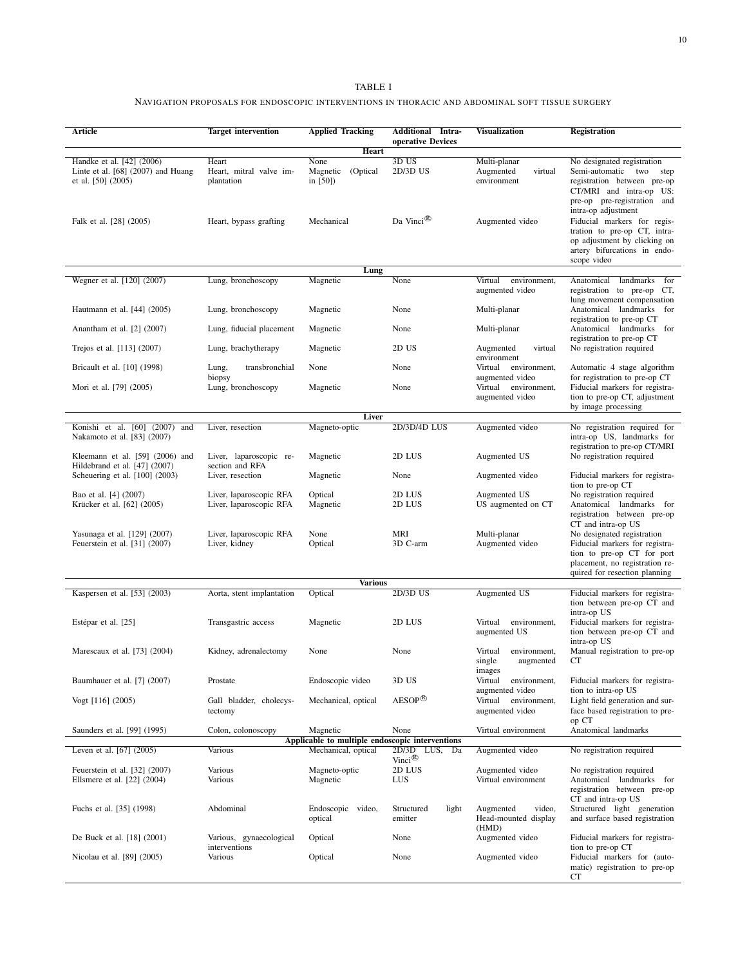# TABLE I

## NAVIGATION PROPOSALS FOR ENDOSCOPIC INTERVENTIONS IN THORACIC AND ABDOMINAL SOFT TISSUE SURGERY

| Article                                                                                 | <b>Target intervention</b>                         | <b>Applied Tracking</b>                         | <b>Additional</b> Intra-<br>operative Devices                     | Visualization                                            | <b>Registration</b>                                                                                                                                               |
|-----------------------------------------------------------------------------------------|----------------------------------------------------|-------------------------------------------------|-------------------------------------------------------------------|----------------------------------------------------------|-------------------------------------------------------------------------------------------------------------------------------------------------------------------|
| Heart                                                                                   |                                                    |                                                 |                                                                   |                                                          |                                                                                                                                                                   |
| Handke et al. [42] (2006)<br>Linte et al. $[68]$ (2007) and Huang<br>et al. [50] (2005) | Heart<br>Heart, mitral valve im-<br>plantation     | None<br>Magnetic (Optical<br>in $[50]$          | 3D US<br>2D/3D US                                                 | Multi-planar<br>Augmented<br>virtual<br>environment      | No designated registration<br>Semi-automatic two step<br>registration between pre-op<br>CT/MRI and intra-op US:<br>pre-op pre-registration and                    |
| Falk et al. [28] (2005)                                                                 | Heart, bypass grafting                             | Mechanical                                      | Da Vinci <sup>®</sup>                                             | Augmented video                                          | intra-op adjustment<br>Fiducial markers for regis-<br>tration to pre-op CT, intra-<br>op adjustment by clicking on<br>artery bifurcations in endo-<br>scope video |
| Lung                                                                                    |                                                    |                                                 |                                                                   |                                                          |                                                                                                                                                                   |
| Wegner et al. [120] (2007)                                                              | Lung, bronchoscopy                                 | Magnetic                                        | None                                                              | Virtual<br>environment,<br>augmented video               | landmarks<br>Anatomical<br>for<br>registration to pre-op CT,<br>lung movement compensation                                                                        |
| Hautmann et al. [44] (2005)                                                             | Lung, bronchoscopy                                 | Magnetic                                        | None                                                              | Multi-planar                                             | Anatomical landmarks for<br>registration to pre-op CT                                                                                                             |
| Anantham et al. [2] (2007)                                                              | Lung, fiducial placement                           | Magnetic                                        | None                                                              | Multi-planar                                             | Anatomical landmarks for<br>registration to pre-op CT                                                                                                             |
| Trejos et al. [113] (2007)                                                              | Lung, brachytherapy<br>transbronchial              | Magnetic                                        | 2D US                                                             | virtual<br>Augmented<br>environment                      | No registration required                                                                                                                                          |
| Bricault et al. [10] (1998)                                                             | Lung,<br>biopsy                                    | None                                            | None<br>None                                                      | Virtual<br>environment,<br>augmented video               | Automatic 4 stage algorithm<br>for registration to pre-op CT                                                                                                      |
| Mori et al. [79] (2005)                                                                 | Lung, bronchoscopy                                 | Magnetic                                        |                                                                   | Virtual environment,<br>augmented video                  | Fiducial markers for registra-<br>tion to pre-op CT, adjustment<br>by image processing                                                                            |
| <b>Liver</b>                                                                            |                                                    |                                                 |                                                                   |                                                          |                                                                                                                                                                   |
| Konishi et al. [60] (2007) and<br>Nakamoto et al. [83] (2007)                           | Liver, resection                                   | Magneto-optic                                   | 2D/3D/4D LUS                                                      | Augmented video                                          | No registration required for<br>intra-op US, landmarks for<br>registration to pre-op CT/MRI                                                                       |
| Kleemann et al. [59] (2006) and<br>Hildebrand et al. [47] (2007)                        | Liver, laparoscopic re-<br>section and RFA         | Magnetic                                        | 2D LUS                                                            | Augmented US                                             | No registration required                                                                                                                                          |
| Scheuering et al. [100] (2003)                                                          | Liver, resection                                   | Magnetic                                        | None                                                              | Augmented video                                          | Fiducial markers for registra-<br>tion to pre-op CT                                                                                                               |
| Bao et al. [4] (2007)<br>Krücker et al. [62] (2005)                                     | Liver, laparoscopic RFA<br>Liver, laparoscopic RFA | Optical<br>Magnetic                             | 2D LUS<br>2D LUS                                                  | Augmented US<br>US augmented on CT                       | No registration required<br>Anatomical landmarks for<br>registration between pre-op<br>CT and intra-op US                                                         |
| Yasunaga et al. [129] (2007)<br>Feuerstein et al. [31] (2007)                           | Liver, laparoscopic RFA<br>Liver, kidney           | None<br>Optical                                 | MRI<br>3D C-arm                                                   | Multi-planar<br>Augmented video                          | No designated registration<br>Fiducial markers for registra-<br>tion to pre-op CT for port<br>placement, no registration re-<br>quired for resection planning     |
| <b>Various</b><br>Kaspersen et al. [53] (2003)                                          |                                                    |                                                 |                                                                   |                                                          |                                                                                                                                                                   |
|                                                                                         | Aorta, stent implantation                          | Optical                                         | 2D/3D US                                                          | Augmented US                                             | Fiducial markers for registra-<br>tion between pre-op CT and<br>intra-op US                                                                                       |
| Estépar et al. [25]                                                                     | Transgastric access                                | Magnetic                                        | 2D LUS                                                            | Virtual<br>environment,<br>augmented US                  | Fiducial markers for registra-<br>tion between pre-op CT and<br>intra-op US                                                                                       |
| Marescaux et al. [73] (2004)                                                            | Kidney, adrenalectomy                              | None                                            | None                                                              | Virtual<br>environment.<br>single<br>augmented<br>images | Manual registration to pre-op<br>СT                                                                                                                               |
| Baumhauer et al. [7] (2007)                                                             | Prostate                                           | Endoscopic video                                | 3D US                                                             | Virtual<br>environment,<br>augmented video               | Fiducial markers for registra-<br>tion to intra-op US                                                                                                             |
| Vogt $[116]$ (2005)                                                                     | Gall bladder, cholecys-<br>tectomy                 | Mechanical, optical                             | $AESOP^{\times}$                                                  | environment,<br>Virtual<br>augmented video               | Light field generation and sur-<br>face based registration to pre-<br>op CT                                                                                       |
| Saunders et al. [99] (1995)                                                             | Colon, colonoscopy                                 | Magnetic                                        | None                                                              | Virtual environment                                      | Anatomical landmarks                                                                                                                                              |
|                                                                                         |                                                    | Applicable to multiple endoscopic interventions |                                                                   |                                                          |                                                                                                                                                                   |
| Leven et al. [67] (2005)                                                                | Various                                            | Mechanical, optical                             | 2D/3D<br>$L\overline{US}$ , $\overline{Da}$<br>Vinci <sup>®</sup> | Augmented video                                          | No registration required                                                                                                                                          |
| Feuerstein et al. [32] (2007)<br>Ellsmere et al. [22] (2004)                            | Various<br>Various                                 | Magneto-optic<br>Magnetic                       | 2D LUS<br>LUS                                                     | Augmented video<br>Virtual environment                   | No registration required<br>Anatomical landmarks for<br>registration between pre-op<br>CT and intra-op US                                                         |
| Fuchs et al. [35] (1998)                                                                | Abdominal                                          | Endoscopic video,<br>optical                    | Structured<br>light<br>emitter                                    | Augmented<br>video,<br>Head-mounted display<br>(HMD)     | Structured light generation<br>and surface based registration                                                                                                     |
| De Buck et al. [18] (2001)                                                              | Various, gynaecological<br>interventions           | Optical                                         | None                                                              | Augmented video                                          | Fiducial markers for registra-<br>tion to pre-op CT                                                                                                               |
| Nicolau et al. [89] (2005)                                                              | Various                                            | Optical                                         | None                                                              | Augmented video                                          | Fiducial markers for (auto-<br>matic) registration to pre-op<br>CТ                                                                                                |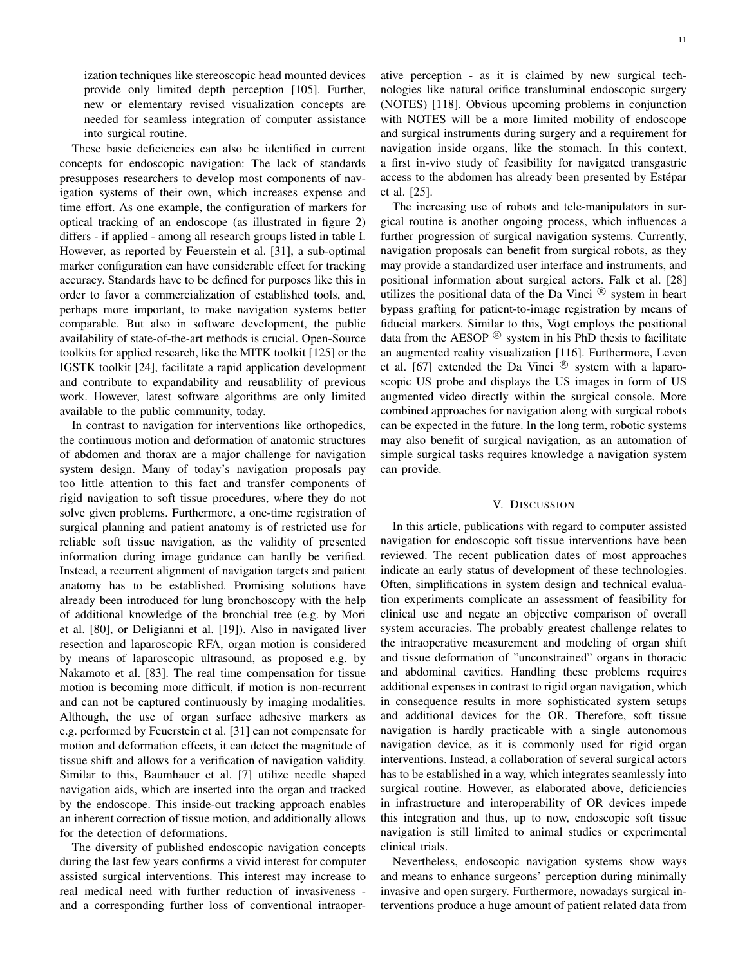ization techniques like stereoscopic head mounted devices provide only limited depth perception [105]. Further, new or elementary revised visualization concepts are needed for seamless integration of computer assistance into surgical routine.

These basic deficiencies can also be identified in current concepts for endoscopic navigation: The lack of standards presupposes researchers to develop most components of navigation systems of their own, which increases expense and time effort. As one example, the configuration of markers for optical tracking of an endoscope (as illustrated in figure 2) differs - if applied - among all research groups listed in table I. However, as reported by Feuerstein et al. [31], a sub-optimal marker configuration can have considerable effect for tracking accuracy. Standards have to be defined for purposes like this in order to favor a commercialization of established tools, and, perhaps more important, to make navigation systems better comparable. But also in software development, the public availability of state-of-the-art methods is crucial. Open-Source toolkits for applied research, like the MITK toolkit [125] or the IGSTK toolkit [24], facilitate a rapid application development and contribute to expandability and reusablility of previous work. However, latest software algorithms are only limited available to the public community, today.

In contrast to navigation for interventions like orthopedics, the continuous motion and deformation of anatomic structures of abdomen and thorax are a major challenge for navigation system design. Many of today's navigation proposals pay too little attention to this fact and transfer components of rigid navigation to soft tissue procedures, where they do not solve given problems. Furthermore, a one-time registration of surgical planning and patient anatomy is of restricted use for reliable soft tissue navigation, as the validity of presented information during image guidance can hardly be verified. Instead, a recurrent alignment of navigation targets and patient anatomy has to be established. Promising solutions have already been introduced for lung bronchoscopy with the help of additional knowledge of the bronchial tree (e.g. by Mori et al. [80], or Deligianni et al. [19]). Also in navigated liver resection and laparoscopic RFA, organ motion is considered by means of laparoscopic ultrasound, as proposed e.g. by Nakamoto et al. [83]. The real time compensation for tissue motion is becoming more difficult, if motion is non-recurrent and can not be captured continuously by imaging modalities. Although, the use of organ surface adhesive markers as e.g. performed by Feuerstein et al. [31] can not compensate for motion and deformation effects, it can detect the magnitude of tissue shift and allows for a verification of navigation validity. Similar to this, Baumhauer et al. [7] utilize needle shaped navigation aids, which are inserted into the organ and tracked by the endoscope. This inside-out tracking approach enables an inherent correction of tissue motion, and additionally allows for the detection of deformations.

The diversity of published endoscopic navigation concepts during the last few years confirms a vivid interest for computer assisted surgical interventions. This interest may increase to real medical need with further reduction of invasiveness and a corresponding further loss of conventional intraoperative perception - as it is claimed by new surgical technologies like natural orifice transluminal endoscopic surgery (NOTES) [118]. Obvious upcoming problems in conjunction with NOTES will be a more limited mobility of endoscope and surgical instruments during surgery and a requirement for navigation inside organs, like the stomach. In this context, a first in-vivo study of feasibility for navigated transgastric access to the abdomen has already been presented by Estépar et al. [25].

The increasing use of robots and tele-manipulators in surgical routine is another ongoing process, which influences a further progression of surgical navigation systems. Currently, navigation proposals can benefit from surgical robots, as they may provide a standardized user interface and instruments, and positional information about surgical actors. Falk et al. [28] utilizes the positional data of the Da Vinci  $\mathbb{R}$  system in heart bypass grafting for patient-to-image registration by means of fiducial markers. Similar to this, Vogt employs the positional data from the AESOP  $\mathbb{B}$  system in his PhD thesis to facilitate an augmented reality visualization [116]. Furthermore, Leven et al. [67] extended the Da Vinci  $\mathcal{R}$  system with a laparoscopic US probe and displays the US images in form of US augmented video directly within the surgical console. More combined approaches for navigation along with surgical robots can be expected in the future. In the long term, robotic systems may also benefit of surgical navigation, as an automation of simple surgical tasks requires knowledge a navigation system can provide.

#### V. DISCUSSION

In this article, publications with regard to computer assisted navigation for endoscopic soft tissue interventions have been reviewed. The recent publication dates of most approaches indicate an early status of development of these technologies. Often, simplifications in system design and technical evaluation experiments complicate an assessment of feasibility for clinical use and negate an objective comparison of overall system accuracies. The probably greatest challenge relates to the intraoperative measurement and modeling of organ shift and tissue deformation of "unconstrained" organs in thoracic and abdominal cavities. Handling these problems requires additional expenses in contrast to rigid organ navigation, which in consequence results in more sophisticated system setups and additional devices for the OR. Therefore, soft tissue navigation is hardly practicable with a single autonomous navigation device, as it is commonly used for rigid organ interventions. Instead, a collaboration of several surgical actors has to be established in a way, which integrates seamlessly into surgical routine. However, as elaborated above, deficiencies in infrastructure and interoperability of OR devices impede this integration and thus, up to now, endoscopic soft tissue navigation is still limited to animal studies or experimental clinical trials.

Nevertheless, endoscopic navigation systems show ways and means to enhance surgeons' perception during minimally invasive and open surgery. Furthermore, nowadays surgical interventions produce a huge amount of patient related data from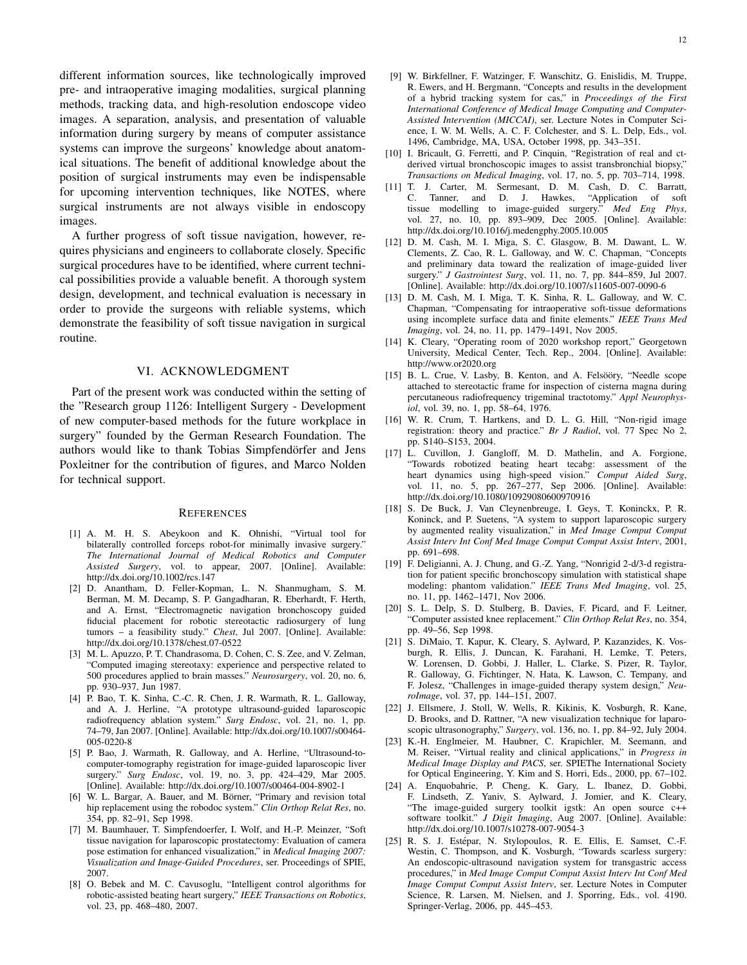different information sources, like technologically improved pre- and intraoperative imaging modalities, surgical planning methods, tracking data, and high-resolution endoscope video images. A separation, analysis, and presentation of valuable information during surgery by means of computer assistance systems can improve the surgeons' knowledge about anatomical situations. The benefit of additional knowledge about the position of surgical instruments may even be indispensable for upcoming intervention techniques, like NOTES, where surgical instruments are not always visible in endoscopy images.

A further progress of soft tissue navigation, however, requires physicians and engineers to collaborate closely. Specific surgical procedures have to be identified, where current technical possibilities provide a valuable benefit. A thorough system design, development, and technical evaluation is necessary in order to provide the surgeons with reliable systems, which demonstrate the feasibility of soft tissue navigation in surgical routine.

#### VI. ACKNOWLEDGMENT

Part of the present work was conducted within the setting of the "Research group 1126: Intelligent Surgery - Development of new computer-based methods for the future workplace in surgery" founded by the German Research Foundation. The authors would like to thank Tobias Simpfendörfer and Jens Poxleitner for the contribution of figures, and Marco Nolden for technical support.

#### **REFERENCES**

- [1] A. M. H. S. Abeykoon and K. Ohnishi, "Virtual tool for bilaterally controlled forceps robot-for minimally invasive surgery." *The International Journal of Medical Robotics and Computer Assisted Surgery*, vol. to appear, 2007. [Online]. Available: http://dx.doi.org/10.1002/rcs.147
- [2] D. Anantham, D. Feller-Kopman, L. N. Shanmugham, S. M. Berman, M. M. Decamp, S. P. Gangadharan, R. Eberhardt, F. Herth, and A. Ernst, "Electromagnetic navigation bronchoscopy guided fiducial placement for robotic stereotactic radiosurgery of lung tumors – a feasibility study." *Chest*, Jul 2007. [Online]. Available: http://dx.doi.org/10.1378/chest.07-0522
- [3] M. L. Apuzzo, P. T. Chandrasoma, D. Cohen, C. S. Zee, and V. Zelman, "Computed imaging stereotaxy: experience and perspective related to 500 procedures applied to brain masses." *Neurosurgery*, vol. 20, no. 6, pp. 930–937, Jun 1987.
- [4] P. Bao, T. K. Sinha, C.-C. R. Chen, J. R. Warmath, R. L. Galloway, and A. J. Herline, "A prototype ultrasound-guided laparoscopic radiofrequency ablation system." *Surg Endosc*, vol. 21, no. 1, pp. 74–79, Jan 2007. [Online]. Available: http://dx.doi.org/10.1007/s00464- 005-0220-8
- [5] P. Bao, J. Warmath, R. Galloway, and A. Herline, "Ultrasound-tocomputer-tomography registration for image-guided laparoscopic liver surgery." *Surg Endosc*, vol. 19, no. 3, pp. 424–429, Mar 2005. [Online]. Available: http://dx.doi.org/10.1007/s00464-004-8902-1
- [6] W. L. Bargar, A. Bauer, and M. Börner, "Primary and revision total hip replacement using the robodoc system." *Clin Orthop Relat Res*, no. 354, pp. 82–91, Sep 1998.
- [7] M. Baumhauer, T. Simpfendoerfer, I. Wolf, and H.-P. Meinzer, "Soft tissue navigation for laparoscopic prostatectomy: Evaluation of camera pose estimation for enhanced visualization," in *Medical Imaging 2007: Visualization and Image-Guided Procedures*, ser. Proceedings of SPIE, 2007.
- [8] O. Bebek and M. C. Cavusoglu, "Intelligent control algorithms for robotic-assisted beating heart surgery," *IEEE Transactions on Robotics*, vol. 23, pp. 468–480, 2007.
- [10] I. Bricault, G. Ferretti, and P. Cinquin, "Registration of real and ctderived virtual bronchoscopic images to assist transbronchial biopsy," *Transactions on Medical Imaging*, vol. 17, no. 5, pp. 703–714, 1998.
- [11] T. J. Carter, M. Sermesant, D. M. Cash, D. C. Barratt, C. Tanner, and D. J. Hawkes, "Application of soft tissue modelling to image-guided surgery." *Med Eng Phys*, vol. 27, no. 10, pp. 893–909, Dec 2005. [Online]. Available: http://dx.doi.org/10.1016/j.medengphy.2005.10.005
- [12] D. M. Cash, M. I. Miga, S. C. Glasgow, B. M. Dawant, L. W. Clements, Z. Cao, R. L. Galloway, and W. C. Chapman, "Concepts and preliminary data toward the realization of image-guided liver surgery." *J Gastrointest Surg*, vol. 11, no. 7, pp. 844–859, Jul 2007. [Online]. Available: http://dx.doi.org/10.1007/s11605-007-0090-6
- [13] D. M. Cash, M. I. Miga, T. K. Sinha, R. L. Galloway, and W. C. Chapman, "Compensating for intraoperative soft-tissue deformations using incomplete surface data and finite elements." *IEEE Trans Med Imaging*, vol. 24, no. 11, pp. 1479–1491, Nov 2005.
- [14] K. Cleary, "Operating room of 2020 workshop report," Georgetown University, Medical Center, Tech. Rep., 2004. [Online]. Available: http://www.or2020.org
- [15] B. L. Crue, V. Lasby, B. Kenton, and A. Felsööry, "Needle scope attached to stereotactic frame for inspection of cisterna magna during percutaneous radiofrequency trigeminal tractotomy." *Appl Neurophysiol*, vol. 39, no. 1, pp. 58–64, 1976.
- [16] W. R. Crum, T. Hartkens, and D. L. G. Hill, "Non-rigid image registration: theory and practice." *Br J Radiol*, vol. 77 Spec No 2, pp. S140–S153, 2004.
- [17] L. Cuvillon, J. Gangloff, M. D. Mathelin, and A. Forgione, "Towards robotized beating heart tecabg: assessment of the heart dynamics using high-speed vision." *Comput Aided Surg*, vol. 11, no. 5, pp. 267–277, Sep 2006. [Online]. Available: http://dx.doi.org/10.1080/10929080600970916
- [18] S. De Buck, J. Van Cleynenbreuge, I. Geys, T. Koninckx, P. R. Koninck, and P. Suetens, "A system to support laparoscopic surgery by augmented reality visualization," in *Med Image Comput Comput Assist Interv Int Conf Med Image Comput Comput Assist Interv*, 2001, pp. 691–698.
- [19] F. Deligianni, A. J. Chung, and G.-Z. Yang, "Nonrigid 2-d/3-d registration for patient specific bronchoscopy simulation with statistical shape modeling: phantom validation." *IEEE Trans Med Imaging*, vol. 25, no. 11, pp. 1462–1471, Nov 2006.
- [20] S. L. Delp, S. D. Stulberg, B. Davies, F. Picard, and F. Leitner, "Computer assisted knee replacement." *Clin Orthop Relat Res*, no. 354, pp. 49–56, Sep 1998.
- [21] S. DiMaio, T. Kapur, K. Cleary, S. Aylward, P. Kazanzides, K. Vosburgh, R. Ellis, J. Duncan, K. Farahani, H. Lemke, T. Peters, W. Lorensen, D. Gobbi, J. Haller, L. Clarke, S. Pizer, R. Taylor, R. Galloway, G. Fichtinger, N. Hata, K. Lawson, C. Tempany, and F. Jolesz, "Challenges in image-guided therapy system design," *NeuroImage*, vol. 37, pp. 144–151, 2007.
- [22] J. Ellsmere, J. Stoll, W. Wells, R. Kikinis, K. Vosburgh, R. Kane, D. Brooks, and D. Rattner, "A new visualization technique for laparoscopic ultrasonography," *Surgery*, vol. 136, no. 1, pp. 84–92, July 2004.
- [23] K.-H. Englmeier, M. Haubner, C. Krapichler, M. Seemann, and M. Reiser, "Virtual reality and clinical applications," in *Progress in Medical Image Display and PACS*, ser. SPIEThe International Society for Optical Engineering, Y. Kim and S. Horri, Eds., 2000, pp. 67–102.
- [24] A. Enquobahrie, P. Cheng, K. Gary, L. Ibanez, D. Gobbi, F. Lindseth, Z. Yaniv, S. Aylward, J. Jomier, and K. Cleary, "The image-guided surgery toolkit igstk: An open source c++ software toolkit." *J Digit Imaging*, Aug 2007. [Online]. Available: http://dx.doi.org/10.1007/s10278-007-9054-3
- [25] R. S. J. Estépar, N. Stylopoulos, R. E. Ellis, E. Samset, C.-F. Westin, C. Thompson, and K. Vosburgh, "Towards scarless surgery: An endoscopic-ultrasound navigation system for transgastric access procedures," in *Med Image Comput Comput Assist Interv Int Conf Med Image Comput Comput Assist Interv*, ser. Lecture Notes in Computer Science, R. Larsen, M. Nielsen, and J. Sporring, Eds., vol. 4190. Springer-Verlag, 2006, pp. 445–453.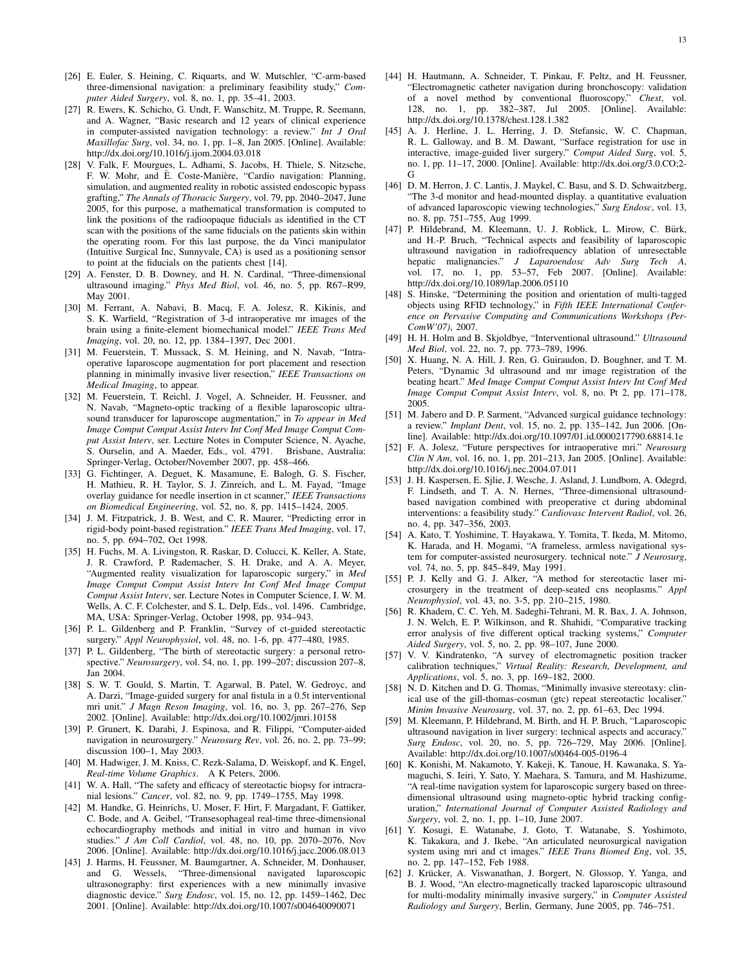- [27] R. Ewers, K. Schicho, G. Undt, F. Wanschitz, M. Truppe, R. Seemann, and A. Wagner, "Basic research and 12 years of clinical experience in computer-assisted navigation technology: a review." *Int J Oral Maxillofac Surg*, vol. 34, no. 1, pp. 1–8, Jan 2005. [Online]. Available: http://dx.doi.org/10.1016/j.ijom.2004.03.018
- [28] V. Falk, F. Mourgues, L. Adhami, S. Jacobs, H. Thiele, S. Nitzsche, F. W. Mohr, and E. Coste-Manière, "Cardio navigation: Planning, simulation, and augmented reality in robotic assisted endoscopic bypass grafting," *The Annals of Thoracic Surgery*, vol. 79, pp. 2040–2047, June 2005, for this purpose, a mathematical transformation is computed to link the positions of the radioopaque fiducials as identified in the CT scan with the positions of the same fiducials on the patients skin within the operating room. For this last purpose, the da Vinci manipulator (Intuitive Surgical Inc, Sunnyvale, CA) is used as a positioning sensor to point at the fiducials on the patients chest [14].
- [29] A. Fenster, D. B. Downey, and H. N. Cardinal, "Three-dimensional ultrasound imaging." *Phys Med Biol*, vol. 46, no. 5, pp. R67–R99, May 2001.
- [30] M. Ferrant, A. Nabavi, B. Macq, F. A. Jolesz, R. Kikinis, and S. K. Warfield, "Registration of 3-d intraoperative mr images of the brain using a finite-element biomechanical model." *IEEE Trans Med Imaging*, vol. 20, no. 12, pp. 1384–1397, Dec 2001.
- [31] M. Feuerstein, T. Mussack, S. M. Heining, and N. Navab, "Intraoperative laparoscope augmentation for port placement and resection planning in minimally invasive liver resection," *IEEE Transactions on Medical Imaging*, to appear.
- [32] M. Feuerstein, T. Reichl, J. Vogel, A. Schneider, H. Feussner, and N. Navab, "Magneto-optic tracking of a flexible laparoscopic ultrasound transducer for laparoscope augmentation," in *To appear in Med Image Comput Comput Assist Interv Int Conf Med Image Comput Comput Assist Interv*, ser. Lecture Notes in Computer Science, N. Ayache, S. Ourselin, and A. Maeder, Eds., vol. 4791. Brisbane, Australia: Springer-Verlag, October/November 2007, pp. 458–466.
- [33] G. Fichtinger, A. Deguet, K. Masamune, E. Balogh, G. S. Fischer, H. Mathieu, R. H. Taylor, S. J. Zinreich, and L. M. Fayad, "Image overlay guidance for needle insertion in ct scanner," *IEEE Transactions on Biomedical Engineering*, vol. 52, no. 8, pp. 1415–1424, 2005.
- [34] J. M. Fitzpatrick, J. B. West, and C. R. Maurer, "Predicting error in rigid-body point-based registration." *IEEE Trans Med Imaging*, vol. 17, no. 5, pp. 694–702, Oct 1998.
- [35] H. Fuchs, M. A. Livingston, R. Raskar, D. Colucci, K. Keller, A. State, J. R. Crawford, P. Rademacher, S. H. Drake, and A. A. Meyer, "Augmented reality visualization for laparoscopic surgery," in *Med Image Comput Comput Assist Interv Int Conf Med Image Comput Comput Assist Interv*, ser. Lecture Notes in Computer Science, I. W. M. Wells, A. C. F. Colchester, and S. L. Delp, Eds., vol. 1496. Cambridge, MA, USA: Springer-Verlag, October 1998, pp. 934–943.
- [36] P. L. Gildenberg and P. Franklin, "Survey of ct-guided stereotactic surgery." *Appl Neurophysiol*, vol. 48, no. 1-6, pp. 477–480, 1985.
- [37] P. L. Gildenberg, "The birth of stereotactic surgery: a personal retrospective." *Neurosurgery*, vol. 54, no. 1, pp. 199–207; discussion 207–8, Jan 2004.
- [38] S. W. T. Gould, S. Martin, T. Agarwal, B. Patel, W. Gedroyc, and A. Darzi, "Image-guided surgery for anal fistula in a 0.5t interventional mri unit." *J Magn Reson Imaging*, vol. 16, no. 3, pp. 267–276, Sep 2002. [Online]. Available: http://dx.doi.org/10.1002/jmri.10158
- [39] P. Grunert, K. Darabi, J. Espinosa, and R. Filippi, "Computer-aided navigation in neurosurgery." *Neurosurg Rev*, vol. 26, no. 2, pp. 73–99; discussion 100–1, May 2003.
- [40] M. Hadwiger, J. M. Kniss, C. Rezk-Salama, D. Weiskopf, and K. Engel, *Real-time Volume Graphics*. A K Peters, 2006.
- [41] W. A. Hall, "The safety and efficacy of stereotactic biopsy for intracranial lesions." *Cancer*, vol. 82, no. 9, pp. 1749–1755, May 1998.
- [42] M. Handke, G. Heinrichs, U. Moser, F. Hirt, F. Margadant, F. Gattiker, C. Bode, and A. Geibel, "Transesophageal real-time three-dimensional echocardiography methods and initial in vitro and human in vivo studies." *J Am Coll Cardiol*, vol. 48, no. 10, pp. 2070–2076, Nov 2006. [Online]. Available: http://dx.doi.org/10.1016/j.jacc.2006.08.013
- [43] J. Harms, H. Feussner, M. Baumgartner, A. Schneider, M. Donhauser, and G. Wessels, "Three-dimensional navigated laparoscopic ultrasonography: first experiences with a new minimally invasive diagnostic device." *Surg Endosc*, vol. 15, no. 12, pp. 1459–1462, Dec 2001. [Online]. Available: http://dx.doi.org/10.1007/s004640090071
- [44] H. Hautmann, A. Schneider, T. Pinkau, F. Peltz, and H. Feussner, "Electromagnetic catheter navigation during bronchoscopy: validation of a novel method by conventional fluoroscopy." *Chest*, vol. 128, no. 1, pp. 382–387, Jul 2005. [Online]. Available: http://dx.doi.org/10.1378/chest.128.1.382
- [45] A. J. Herline, J. L. Herring, J. D. Stefansic, W. C. Chapman, R. L. Galloway, and B. M. Dawant, "Surface registration for use in interactive, image-guided liver surgery." *Comput Aided Surg*, vol. 5, no. 1, pp. 11–17, 2000. [Online]. Available: http://dx.doi.org/3.0.CO;2- G
- [46] D. M. Herron, J. C. Lantis, J. Maykel, C. Basu, and S. D. Schwaitzberg, "The 3-d monitor and head-mounted display. a quantitative evaluation of advanced laparoscopic viewing technologies," *Surg Endosc*, vol. 13, no. 8, pp. 751–755, Aug 1999.
- [47] P. Hildebrand, M. Kleemann, U. J. Roblick, L. Mirow, C. Bürk, and H.-P. Bruch, "Technical aspects and feasibility of laparoscopic ultrasound navigation in radiofrequency ablation of unresectable hepatic malignancies." *J Laparoendosc Adv Surg Tech A*, vol. 17, no. 1, pp. 53–57, Feb 2007. [Online]. Available: http://dx.doi.org/10.1089/lap.2006.05110
- [48] S. Hinske, "Determining the position and orientation of multi-tagged objects using RFID technology," in *Fifth IEEE International Conference on Pervasive Computing and Communications Workshops (Per-ComW'07)*, 2007.
- [49] H. H. Holm and B. Skjoldbye, "Interventional ultrasound." *Ultrasound Med Biol*, vol. 22, no. 7, pp. 773–789, 1996.
- [50] X. Huang, N. A. Hill, J. Ren, G. Guiraudon, D. Boughner, and T. M. Peters, "Dynamic 3d ultrasound and mr image registration of the beating heart." *Med Image Comput Comput Assist Interv Int Conf Med Image Comput Comput Assist Interv*, vol. 8, no. Pt 2, pp. 171–178, 2005.
- [51] M. Jabero and D. P. Sarment, "Advanced surgical guidance technology: a review." *Implant Dent*, vol. 15, no. 2, pp. 135–142, Jun 2006. [Online]. Available: http://dx.doi.org/10.1097/01.id.0000217790.68814.1e
- [52] F. A. Jolesz, "Future perspectives for intraoperative mri." *Neurosurg Clin N Am*, vol. 16, no. 1, pp. 201–213, Jan 2005. [Online]. Available: http://dx.doi.org/10.1016/j.nec.2004.07.011
- [53] J. H. Kaspersen, E. Sjlie, J. Wesche, J. Asland, J. Lundbom, A. Odegrd, F. Lindseth, and T. A. N. Hernes, "Three-dimensional ultrasoundbased navigation combined with preoperative ct during abdominal interventions: a feasibility study." *Cardiovasc Intervent Radiol*, vol. 26, no. 4, pp. 347–356, 2003.
- [54] A. Kato, T. Yoshimine, T. Hayakawa, Y. Tomita, T. Ikeda, M. Mitomo, K. Harada, and H. Mogami, "A frameless, armless navigational system for computer-assisted neurosurgery. technical note." *J Neurosurg*, vol. 74, no. 5, pp. 845–849, May 1991.
- [55] P. J. Kelly and G. J. Alker, "A method for stereotactic laser microsurgery in the treatment of deep-seated cns neoplasms." *Appl Neurophysiol*, vol. 43, no. 3-5, pp. 210–215, 1980.
- [56] R. Khadem, C. C. Yeh, M. Sadeghi-Tehrani, M. R. Bax, J. A. Johnson, J. N. Welch, E. P. Wilkinson, and R. Shahidi, "Comparative tracking error analysis of five different optical tracking systems," *Computer Aided Surgery*, vol. 5, no. 2, pp. 98–107, June 2000.
- [57] V. V. Kindratenko, "A survey of electromagnetic position tracker calibration techniques," *Virtual Reality: Research, Development, and Applications*, vol. 5, no. 3, pp. 169–182, 2000.
- [58] N. D. Kitchen and D. G. Thomas, "Minimally invasive stereotaxy: clinical use of the gill-thomas-cosman (gtc) repeat stereotactic localiser." *Minim Invasive Neurosurg*, vol. 37, no. 2, pp. 61–63, Dec 1994.
- [59] M. Kleemann, P. Hildebrand, M. Birth, and H. P. Bruch, "Laparoscopic ultrasound navigation in liver surgery: technical aspects and accuracy." *Surg Endosc*, vol. 20, no. 5, pp. 726–729, May 2006. [Online]. Available: http://dx.doi.org/10.1007/s00464-005-0196-4
- [60] K. Konishi, M. Nakamoto, Y. Kakeji, K. Tanoue, H. Kawanaka, S. Yamaguchi, S. Ieiri, Y. Sato, Y. Maehara, S. Tamura, and M. Hashizume, "A real-time navigation system for laparoscopic surgery based on threedimensional ultrasound using magneto-optic hybrid tracking configuration," *International Journal of Computer Assisted Radiology and Surgery*, vol. 2, no. 1, pp. 1–10, June 2007.
- [61] Y. Kosugi, E. Watanabe, J. Goto, T. Watanabe, S. Yoshimoto, K. Takakura, and J. Ikebe, "An articulated neurosurgical navigation system using mri and ct images." *IEEE Trans Biomed Eng*, vol. 35, no. 2, pp. 147–152, Feb 1988.
- [62] J. Krücker, A. Viswanathan, J. Borgert, N. Glossop, Y. Yanga, and B. J. Wood, "An electro-magnetically tracked laparoscopic ultrasound for multi-modality minimally invasive surgery," in *Computer Assisted Radiology and Surgery*, Berlin, Germany, June 2005, pp. 746–751.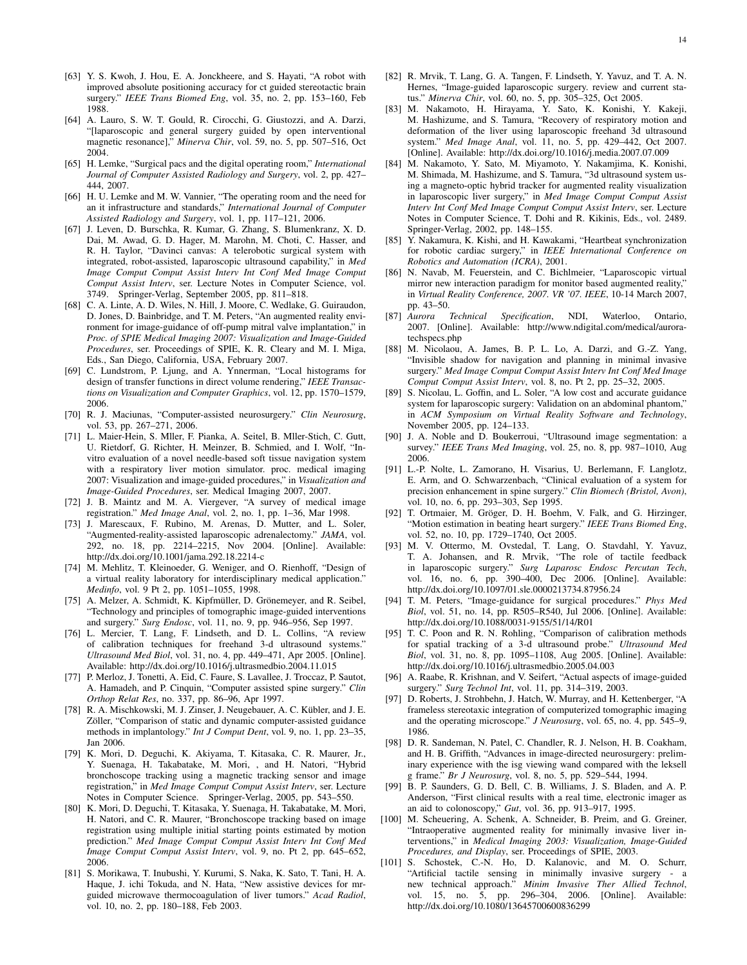- [63] Y. S. Kwoh, J. Hou, E. A. Jonckheere, and S. Hayati, "A robot with improved absolute positioning accuracy for ct guided stereotactic brain surgery." *IEEE Trans Biomed Eng*, vol. 35, no. 2, pp. 153–160, Feb 1988.
- [64] A. Lauro, S. W. T. Gould, R. Cirocchi, G. Giustozzi, and A. Darzi, "[laparoscopic and general surgery guided by open interventional magnetic resonance]," *Minerva Chir*, vol. 59, no. 5, pp. 507–516, Oct 2004.
- [65] H. Lemke, "Surgical pacs and the digital operating room," *International Journal of Computer Assisted Radiology and Surgery*, vol. 2, pp. 427– 444, 2007.
- [66] H. U. Lemke and M. W. Vannier, "The operating room and the need for an it infrastructure and standards," *International Journal of Computer Assisted Radiology and Surgery*, vol. 1, pp. 117–121, 2006.
- [67] J. Leven, D. Burschka, R. Kumar, G. Zhang, S. Blumenkranz, X. D. Dai, M. Awad, G. D. Hager, M. Marohn, M. Choti, C. Hasser, and R. H. Taylor, "Davinci canvas: A telerobotic surgical system with integrated, robot-assisted, laparoscopic ultrasound capability," in *Med Image Comput Comput Assist Interv Int Conf Med Image Comput Comput Assist Interv*, ser. Lecture Notes in Computer Science, vol. 3749. Springer-Verlag, September 2005, pp. 811–818.
- [68] C. A. Linte, A. D. Wiles, N. Hill, J. Moore, C. Wedlake, G. Guiraudon, D. Jones, D. Bainbridge, and T. M. Peters, "An augmented reality environment for image-guidance of off-pump mitral valve implantation," in *Proc. of SPIE Medical Imaging 2007: Visualization and Image-Guided Procedures*, ser. Proceedings of SPIE, K. R. Cleary and M. I. Miga, Eds., San Diego, California, USA, February 2007.
- [69] C. Lundstrom, P. Ljung, and A. Ynnerman, "Local histograms for design of transfer functions in direct volume rendering," *IEEE Transactions on Visualization and Computer Graphics*, vol. 12, pp. 1570–1579, 2006.
- [70] R. J. Maciunas, "Computer-assisted neurosurgery." *Clin Neurosurg*, vol. 53, pp. 267–271, 2006.
- [71] L. Maier-Hein, S. Mller, F. Pianka, A. Seitel, B. Mller-Stich, C. Gutt, U. Rietdorf, G. Richter, H. Meinzer, B. Schmied, and I. Wolf, "Invitro evaluation of a novel needle-based soft tissue navigation system with a respiratory liver motion simulator. proc. medical imaging 2007: Visualization and image-guided procedures," in *Visualization and Image-Guided Procedures*, ser. Medical Imaging 2007, 2007.
- [72] J. B. Maintz and M. A. Viergever, "A survey of medical image registration." *Med Image Anal*, vol. 2, no. 1, pp. 1–36, Mar 1998.
- [73] J. Marescaux, F. Rubino, M. Arenas, D. Mutter, and L. Soler, "Augmented-reality-assisted laparoscopic adrenalectomy." *JAMA*, vol. 292, no. 18, pp. 2214–2215, Nov 2004. [Online]. Available: http://dx.doi.org/10.1001/jama.292.18.2214-c
- [74] M. Mehlitz, T. Kleinoeder, G. Weniger, and O. Rienhoff, "Design of a virtual reality laboratory for interdisciplinary medical application." *Medinfo*, vol. 9 Pt 2, pp. 1051–1055, 1998.
- [75] A. Melzer, A. Schmidt, K. Kipfmüller, D. Grönemeyer, and R. Seibel, "Technology and principles of tomographic image-guided interventions and surgery." *Surg Endosc*, vol. 11, no. 9, pp. 946–956, Sep 1997.
- [76] L. Mercier, T. Lang, F. Lindseth, and D. L. Collins, "A review of calibration techniques for freehand 3-d ultrasound systems." *Ultrasound Med Biol*, vol. 31, no. 4, pp. 449–471, Apr 2005. [Online]. Available: http://dx.doi.org/10.1016/j.ultrasmedbio.2004.11.015
- [77] P. Merloz, J. Tonetti, A. Eid, C. Faure, S. Lavallee, J. Troccaz, P. Sautot, A. Hamadeh, and P. Cinquin, "Computer assisted spine surgery." *Clin Orthop Relat Res*, no. 337, pp. 86–96, Apr 1997.
- [78] R. A. Mischkowski, M. J. Zinser, J. Neugebauer, A. C. Kübler, and J. E. Zöller, "Comparison of static and dynamic computer-assisted guidance methods in implantology." *Int J Comput Dent*, vol. 9, no. 1, pp. 23–35, Jan 2006.
- [79] K. Mori, D. Deguchi, K. Akiyama, T. Kitasaka, C. R. Maurer, Jr., Y. Suenaga, H. Takabatake, M. Mori, , and H. Natori, "Hybrid bronchoscope tracking using a magnetic tracking sensor and image registration," in *Med Image Comput Comput Assist Interv*, ser. Lecture Notes in Computer Science. Springer-Verlag, 2005, pp. 543–550.
- [80] K. Mori, D. Deguchi, T. Kitasaka, Y. Suenaga, H. Takabatake, M. Mori, H. Natori, and C. R. Maurer, "Bronchoscope tracking based on image registration using multiple initial starting points estimated by motion prediction." *Med Image Comput Comput Assist Interv Int Conf Med Image Comput Comput Assist Interv*, vol. 9, no. Pt 2, pp. 645–652, 2006.
- [81] S. Morikawa, T. Inubushi, Y. Kurumi, S. Naka, K. Sato, T. Tani, H. A. Haque, J. ichi Tokuda, and N. Hata, "New assistive devices for mrguided microwave thermocoagulation of liver tumors." *Acad Radiol*, vol. 10, no. 2, pp. 180–188, Feb 2003.
- [82] R. Mrvik, T. Lang, G. A. Tangen, F. Lindseth, Y. Yavuz, and T. A. N. Hernes, "Image-guided laparoscopic surgery. review and current status." *Minerva Chir*, vol. 60, no. 5, pp. 305–325, Oct 2005.
- [83] M. Nakamoto, H. Hirayama, Y. Sato, K. Konishi, Y. Kakeji, M. Hashizume, and S. Tamura, "Recovery of respiratory motion and deformation of the liver using laparoscopic freehand 3d ultrasound system." *Med Image Anal*, vol. 11, no. 5, pp. 429–442, Oct 2007. [Online]. Available: http://dx.doi.org/10.1016/j.media.2007.07.009
- [84] M. Nakamoto, Y. Sato, M. Miyamoto, Y. Nakamjima, K. Konishi, M. Shimada, M. Hashizume, and S. Tamura, "3d ultrasound system using a magneto-optic hybrid tracker for augmented reality visualization in laparoscopic liver surgery," in *Med Image Comput Comput Assist Interv Int Conf Med Image Comput Comput Assist Interv*, ser. Lecture Notes in Computer Science, T. Dohi and R. Kikinis, Eds., vol. 2489. Springer-Verlag, 2002, pp. 148–155.
- [85] Y. Nakamura, K. Kishi, and H. Kawakami, "Heartbeat synchronization for robotic cardiac surgery," in *IEEE International Conference on Robotics and Automation (ICRA)*, 2001.
- [86] N. Navab, M. Feuerstein, and C. Bichlmeier, "Laparoscopic virtual mirror new interaction paradigm for monitor based augmented reality," in *Virtual Reality Conference, 2007. VR '07. IEEE*, 10-14 March 2007, pp. 43–50.
- [87] *Aurora Technical Specification*, NDI, Waterloo, Ontario, 2007. [Online]. Available: http://www.ndigital.com/medical/auroratechspecs.php
- [88] M. Nicolaou, A. James, B. P. L. Lo, A. Darzi, and G.-Z. Yang, "Invisible shadow for navigation and planning in minimal invasive surgery." *Med Image Comput Comput Assist Interv Int Conf Med Image Comput Comput Assist Interv*, vol. 8, no. Pt 2, pp. 25–32, 2005.
- [89] S. Nicolau, L. Goffin, and L. Soler, "A low cost and accurate guidance system for laparoscopic surgery: Validation on an abdominal phantom," in *ACM Symposium on Virtual Reality Software and Technology*, November 2005, pp. 124–133.
- [90] J. A. Noble and D. Boukerroui, "Ultrasound image segmentation: a survey." *IEEE Trans Med Imaging*, vol. 25, no. 8, pp. 987–1010, Aug 2006.
- [91] L.-P. Nolte, L. Zamorano, H. Visarius, U. Berlemann, F. Langlotz, E. Arm, and O. Schwarzenbach, "Clinical evaluation of a system for precision enhancement in spine surgery." *Clin Biomech (Bristol, Avon)*, vol. 10, no. 6, pp. 293–303, Sep 1995.
- [92] T. Ortmaier, M. Gröger, D. H. Boehm, V. Falk, and G. Hirzinger, "Motion estimation in beating heart surgery." *IEEE Trans Biomed Eng*, vol. 52, no. 10, pp. 1729–1740, Oct 2005.
- [93] M. V. Ottermo, M. Ovstedal, T. Lang, O. Stavdahl, Y. Yavuz, T. A. Johansen, and R. Mrvik, "The role of tactile feedback in laparoscopic surgery." *Surg Laparosc Endosc Percutan Tech*, vol. 16, no. 6, pp. 390–400, Dec 2006. [Online]. Available: http://dx.doi.org/10.1097/01.sle.0000213734.87956.24
- [94] T. M. Peters, "Image-guidance for surgical procedures." *Phys Med Biol*, vol. 51, no. 14, pp. R505–R540, Jul 2006. [Online]. Available: http://dx.doi.org/10.1088/0031-9155/51/14/R01
- [95] T. C. Poon and R. N. Rohling, "Comparison of calibration methods for spatial tracking of a 3-d ultrasound probe." *Ultrasound Med Biol*, vol. 31, no. 8, pp. 1095–1108, Aug 2005. [Online]. Available: http://dx.doi.org/10.1016/j.ultrasmedbio.2005.04.003
- [96] A. Raabe, R. Krishnan, and V. Seifert, "Actual aspects of image-guided surgery." *Surg Technol Int*, vol. 11, pp. 314–319, 2003.
- [97] D. Roberts, J. Strohbehn, J. Hatch, W. Murray, and H. Kettenberger, "A frameless stereotaxic integration of computerized tomographic imaging and the operating microscope." *J Neurosurg*, vol. 65, no. 4, pp. 545–9, 1986.
- [98] D. R. Sandeman, N. Patel, C. Chandler, R. J. Nelson, H. B. Coakham, and H. B. Griffith, "Advances in image-directed neurosurgery: preliminary experience with the isg viewing wand compared with the leksell g frame." *Br J Neurosurg*, vol. 8, no. 5, pp. 529–544, 1994.
- [99] B. P. Saunders, G. D. Bell, C. B. Williams, J. S. Bladen, and A. P. Anderson, "First clinical results with a real time, electronic imager as an aid to colonoscopy," *Gut*, vol. 36, pp. 913–917, 1995.
- [100] M. Scheuering, A. Schenk, A. Schneider, B. Preim, and G. Greiner, "Intraoperative augmented reality for minimally invasive liver interventions," in *Medical Imaging 2003: Visualization, Image-Guided Procedures, and Display*, ser. Proceedings of SPIE, 2003.
- [101] S. Schostek, C.-N. Ho, D. Kalanovic, and M. O. Schurr, "Artificial tactile sensing in minimally invasive surgery - a new technical approach." *Minim Invasive Ther Allied Technol*, vol. 15, no. 5, pp. 296–304, 2006. [Online]. Available: http://dx.doi.org/10.1080/13645700600836299